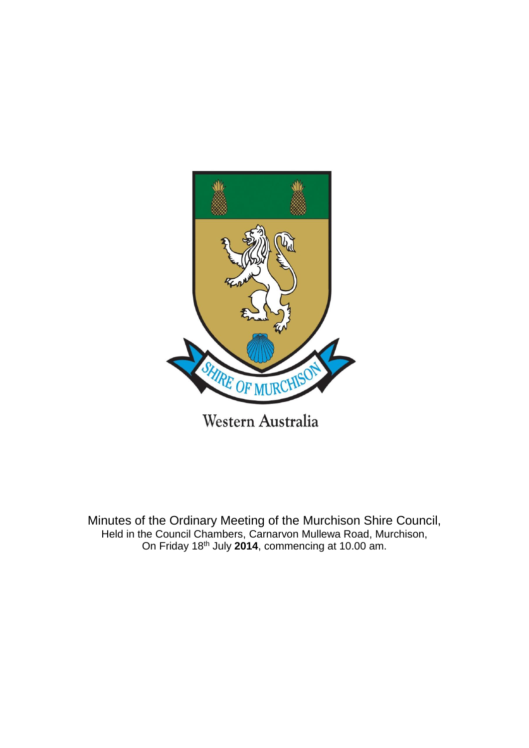

Minutes of the Ordinary Meeting of the Murchison Shire Council, Held in the Council Chambers, Carnarvon Mullewa Road, Murchison, On Friday 18th July **2014**, commencing at 10.00 am.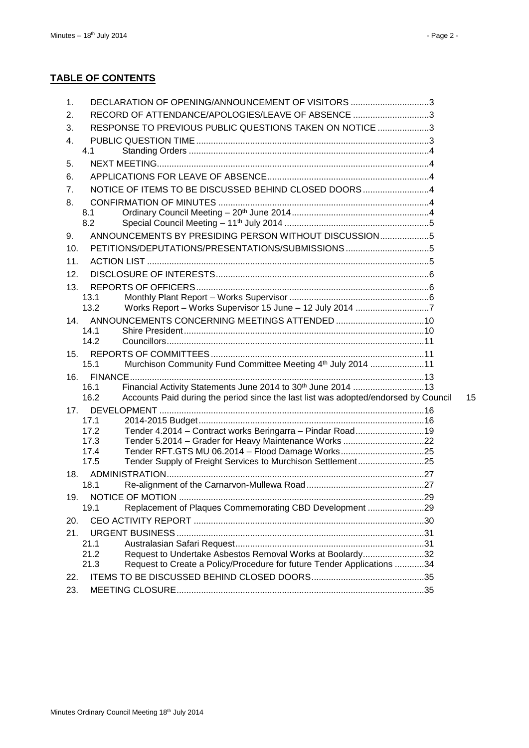| RECORD OF ATTENDANCE/APOLOGIES/LEAVE OF ABSENCE 3<br>2.<br>RESPONSE TO PREVIOUS PUBLIC QUESTIONS TAKEN ON NOTICE 3<br>3.<br>4.<br>4.1<br>5.<br>6.<br>NOTICE OF ITEMS TO BE DISCUSSED BEHIND CLOSED DOORS4<br>7.<br>8.<br>8.1<br>8.2<br>ANNOUNCEMENTS BY PRESIDING PERSON WITHOUT DISCUSSION5<br>9.<br>10.<br>11.<br>12.<br>13.<br>13.1<br>13.2<br>14.<br>14.1<br>14.2<br>15.<br>Murchison Community Fund Committee Meeting 4th July 2014 11<br>15.1<br>16.<br>Financial Activity Statements June 2014 to 30 <sup>th</sup> June 2014 13<br>16.1<br>16.2<br>Accounts Paid during the period since the last list was adopted/endorsed by Council<br>15<br>17.<br>17.1<br>Tender 4.2014 - Contract works Beringarra - Pindar Road19<br>17.2<br>17.3<br>Tender 5.2014 - Grader for Heavy Maintenance Works 22<br>Tender RFT.GTS MU 06.2014 - Flood Damage Works25<br>17.4<br>Tender Supply of Freight Services to Murchison Settlement25<br>17.5<br>18.<br>18.1<br>19.<br>Replacement of Plaques Commemorating CBD Development 29<br>19.1<br>20.<br>21.<br>21.1<br>21.2<br>Request to Undertake Asbestos Removal Works at Boolardy32<br>Request to Create a Policy/Procedure for future Tender Applications 34<br>21.3<br>22.<br>23. | $\mathbf{1}$ . | DECLARATION OF OPENING/ANNOUNCEMENT OF VISITORS 3 |  |
|---------------------------------------------------------------------------------------------------------------------------------------------------------------------------------------------------------------------------------------------------------------------------------------------------------------------------------------------------------------------------------------------------------------------------------------------------------------------------------------------------------------------------------------------------------------------------------------------------------------------------------------------------------------------------------------------------------------------------------------------------------------------------------------------------------------------------------------------------------------------------------------------------------------------------------------------------------------------------------------------------------------------------------------------------------------------------------------------------------------------------------------------------------------------------------------------------------------------------------|----------------|---------------------------------------------------|--|
|                                                                                                                                                                                                                                                                                                                                                                                                                                                                                                                                                                                                                                                                                                                                                                                                                                                                                                                                                                                                                                                                                                                                                                                                                                 |                |                                                   |  |
|                                                                                                                                                                                                                                                                                                                                                                                                                                                                                                                                                                                                                                                                                                                                                                                                                                                                                                                                                                                                                                                                                                                                                                                                                                 |                |                                                   |  |
|                                                                                                                                                                                                                                                                                                                                                                                                                                                                                                                                                                                                                                                                                                                                                                                                                                                                                                                                                                                                                                                                                                                                                                                                                                 |                |                                                   |  |
|                                                                                                                                                                                                                                                                                                                                                                                                                                                                                                                                                                                                                                                                                                                                                                                                                                                                                                                                                                                                                                                                                                                                                                                                                                 |                |                                                   |  |
|                                                                                                                                                                                                                                                                                                                                                                                                                                                                                                                                                                                                                                                                                                                                                                                                                                                                                                                                                                                                                                                                                                                                                                                                                                 |                |                                                   |  |
|                                                                                                                                                                                                                                                                                                                                                                                                                                                                                                                                                                                                                                                                                                                                                                                                                                                                                                                                                                                                                                                                                                                                                                                                                                 |                |                                                   |  |
|                                                                                                                                                                                                                                                                                                                                                                                                                                                                                                                                                                                                                                                                                                                                                                                                                                                                                                                                                                                                                                                                                                                                                                                                                                 |                |                                                   |  |
|                                                                                                                                                                                                                                                                                                                                                                                                                                                                                                                                                                                                                                                                                                                                                                                                                                                                                                                                                                                                                                                                                                                                                                                                                                 |                |                                                   |  |
|                                                                                                                                                                                                                                                                                                                                                                                                                                                                                                                                                                                                                                                                                                                                                                                                                                                                                                                                                                                                                                                                                                                                                                                                                                 |                |                                                   |  |
|                                                                                                                                                                                                                                                                                                                                                                                                                                                                                                                                                                                                                                                                                                                                                                                                                                                                                                                                                                                                                                                                                                                                                                                                                                 |                |                                                   |  |
|                                                                                                                                                                                                                                                                                                                                                                                                                                                                                                                                                                                                                                                                                                                                                                                                                                                                                                                                                                                                                                                                                                                                                                                                                                 |                |                                                   |  |
|                                                                                                                                                                                                                                                                                                                                                                                                                                                                                                                                                                                                                                                                                                                                                                                                                                                                                                                                                                                                                                                                                                                                                                                                                                 |                |                                                   |  |
|                                                                                                                                                                                                                                                                                                                                                                                                                                                                                                                                                                                                                                                                                                                                                                                                                                                                                                                                                                                                                                                                                                                                                                                                                                 |                |                                                   |  |
|                                                                                                                                                                                                                                                                                                                                                                                                                                                                                                                                                                                                                                                                                                                                                                                                                                                                                                                                                                                                                                                                                                                                                                                                                                 |                |                                                   |  |
|                                                                                                                                                                                                                                                                                                                                                                                                                                                                                                                                                                                                                                                                                                                                                                                                                                                                                                                                                                                                                                                                                                                                                                                                                                 |                |                                                   |  |
|                                                                                                                                                                                                                                                                                                                                                                                                                                                                                                                                                                                                                                                                                                                                                                                                                                                                                                                                                                                                                                                                                                                                                                                                                                 |                |                                                   |  |
|                                                                                                                                                                                                                                                                                                                                                                                                                                                                                                                                                                                                                                                                                                                                                                                                                                                                                                                                                                                                                                                                                                                                                                                                                                 |                |                                                   |  |
|                                                                                                                                                                                                                                                                                                                                                                                                                                                                                                                                                                                                                                                                                                                                                                                                                                                                                                                                                                                                                                                                                                                                                                                                                                 |                |                                                   |  |
|                                                                                                                                                                                                                                                                                                                                                                                                                                                                                                                                                                                                                                                                                                                                                                                                                                                                                                                                                                                                                                                                                                                                                                                                                                 |                |                                                   |  |
|                                                                                                                                                                                                                                                                                                                                                                                                                                                                                                                                                                                                                                                                                                                                                                                                                                                                                                                                                                                                                                                                                                                                                                                                                                 |                |                                                   |  |
|                                                                                                                                                                                                                                                                                                                                                                                                                                                                                                                                                                                                                                                                                                                                                                                                                                                                                                                                                                                                                                                                                                                                                                                                                                 |                |                                                   |  |
|                                                                                                                                                                                                                                                                                                                                                                                                                                                                                                                                                                                                                                                                                                                                                                                                                                                                                                                                                                                                                                                                                                                                                                                                                                 |                |                                                   |  |
|                                                                                                                                                                                                                                                                                                                                                                                                                                                                                                                                                                                                                                                                                                                                                                                                                                                                                                                                                                                                                                                                                                                                                                                                                                 |                |                                                   |  |
|                                                                                                                                                                                                                                                                                                                                                                                                                                                                                                                                                                                                                                                                                                                                                                                                                                                                                                                                                                                                                                                                                                                                                                                                                                 |                |                                                   |  |
|                                                                                                                                                                                                                                                                                                                                                                                                                                                                                                                                                                                                                                                                                                                                                                                                                                                                                                                                                                                                                                                                                                                                                                                                                                 |                |                                                   |  |
|                                                                                                                                                                                                                                                                                                                                                                                                                                                                                                                                                                                                                                                                                                                                                                                                                                                                                                                                                                                                                                                                                                                                                                                                                                 |                |                                                   |  |
|                                                                                                                                                                                                                                                                                                                                                                                                                                                                                                                                                                                                                                                                                                                                                                                                                                                                                                                                                                                                                                                                                                                                                                                                                                 |                |                                                   |  |
|                                                                                                                                                                                                                                                                                                                                                                                                                                                                                                                                                                                                                                                                                                                                                                                                                                                                                                                                                                                                                                                                                                                                                                                                                                 |                |                                                   |  |
|                                                                                                                                                                                                                                                                                                                                                                                                                                                                                                                                                                                                                                                                                                                                                                                                                                                                                                                                                                                                                                                                                                                                                                                                                                 |                |                                                   |  |
|                                                                                                                                                                                                                                                                                                                                                                                                                                                                                                                                                                                                                                                                                                                                                                                                                                                                                                                                                                                                                                                                                                                                                                                                                                 |                |                                                   |  |
|                                                                                                                                                                                                                                                                                                                                                                                                                                                                                                                                                                                                                                                                                                                                                                                                                                                                                                                                                                                                                                                                                                                                                                                                                                 |                |                                                   |  |
|                                                                                                                                                                                                                                                                                                                                                                                                                                                                                                                                                                                                                                                                                                                                                                                                                                                                                                                                                                                                                                                                                                                                                                                                                                 |                |                                                   |  |
|                                                                                                                                                                                                                                                                                                                                                                                                                                                                                                                                                                                                                                                                                                                                                                                                                                                                                                                                                                                                                                                                                                                                                                                                                                 |                |                                                   |  |
|                                                                                                                                                                                                                                                                                                                                                                                                                                                                                                                                                                                                                                                                                                                                                                                                                                                                                                                                                                                                                                                                                                                                                                                                                                 |                |                                                   |  |
|                                                                                                                                                                                                                                                                                                                                                                                                                                                                                                                                                                                                                                                                                                                                                                                                                                                                                                                                                                                                                                                                                                                                                                                                                                 |                |                                                   |  |
|                                                                                                                                                                                                                                                                                                                                                                                                                                                                                                                                                                                                                                                                                                                                                                                                                                                                                                                                                                                                                                                                                                                                                                                                                                 |                |                                                   |  |
|                                                                                                                                                                                                                                                                                                                                                                                                                                                                                                                                                                                                                                                                                                                                                                                                                                                                                                                                                                                                                                                                                                                                                                                                                                 |                |                                                   |  |
|                                                                                                                                                                                                                                                                                                                                                                                                                                                                                                                                                                                                                                                                                                                                                                                                                                                                                                                                                                                                                                                                                                                                                                                                                                 |                |                                                   |  |
|                                                                                                                                                                                                                                                                                                                                                                                                                                                                                                                                                                                                                                                                                                                                                                                                                                                                                                                                                                                                                                                                                                                                                                                                                                 |                |                                                   |  |
|                                                                                                                                                                                                                                                                                                                                                                                                                                                                                                                                                                                                                                                                                                                                                                                                                                                                                                                                                                                                                                                                                                                                                                                                                                 |                |                                                   |  |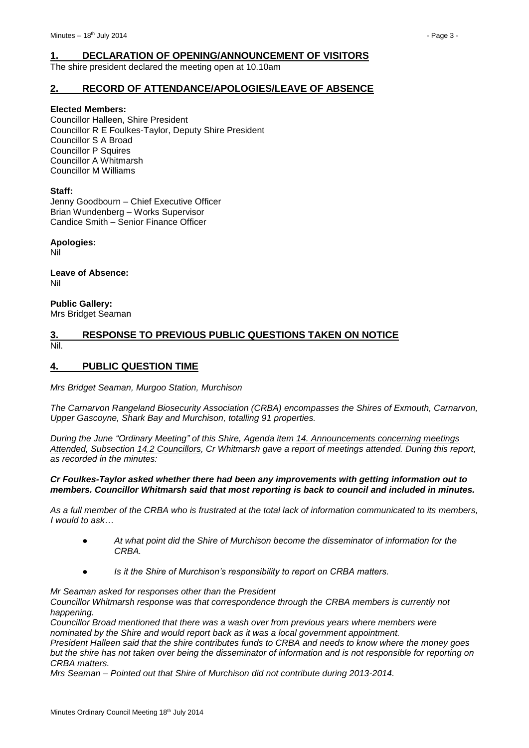# <span id="page-2-0"></span>**1. DECLARATION OF OPENING/ANNOUNCEMENT OF VISITORS**

The shire president declared the meeting open at 10.10am

### <span id="page-2-1"></span>**2. RECORD OF ATTENDANCE/APOLOGIES/LEAVE OF ABSENCE**

#### **Elected Members:**

Councillor Halleen, Shire President Councillor R E Foulkes-Taylor, Deputy Shire President Councillor S A Broad Councillor P Squires Councillor A Whitmarsh Councillor M Williams

#### **Staff:**

Jenny Goodbourn – Chief Executive Officer Brian Wundenberg – Works Supervisor Candice Smith – Senior Finance Officer

**Apologies:**

Nil

**Leave of Absence:** Nil

**Public Gallery:** Mrs Bridget Seaman

#### <span id="page-2-2"></span>**3. RESPONSE TO PREVIOUS PUBLIC QUESTIONS TAKEN ON NOTICE** Nil.

#### <span id="page-2-3"></span>**4. PUBLIC QUESTION TIME**

*Mrs Bridget Seaman, Murgoo Station, Murchison*

*The Carnarvon Rangeland Biosecurity Association (CRBA) encompasses the Shires of Exmouth, Carnarvon, Upper Gascoyne, Shark Bay and Murchison, totalling 91 properties.*

*During the June "Ordinary Meeting" of this Shire, Agenda item 14. Announcements concerning meetings Attended, Subsection 14.2 Councillors, Cr Whitmarsh gave a report of meetings attended. During this report, as recorded in the minutes:*

#### *Cr Foulkes-Taylor asked whether there had been any improvements with getting information out to members. Councillor Whitmarsh said that most reporting is back to council and included in minutes.*

*As a full member of the CRBA who is frustrated at the total lack of information communicated to its members, I would to ask…*

- *● At what point did the Shire of Murchison become the disseminator of information for the CRBA.*
- *Is it the Shire of Murchison's responsibility to report on CRBA matters.*

#### *Mr Seaman asked for responses other than the President*

*Councillor Whitmarsh response was that correspondence through the CRBA members is currently not happening.*

*Councillor Broad mentioned that there was a wash over from previous years where members were nominated by the Shire and would report back as it was a local government appointment.*

*President Halleen said that the shire contributes funds to CRBA and needs to know where the money goes but the shire has not taken over being the disseminator of information and is not responsible for reporting on CRBA matters.*

*Mrs Seaman – Pointed out that Shire of Murchison did not contribute during 2013-2014.*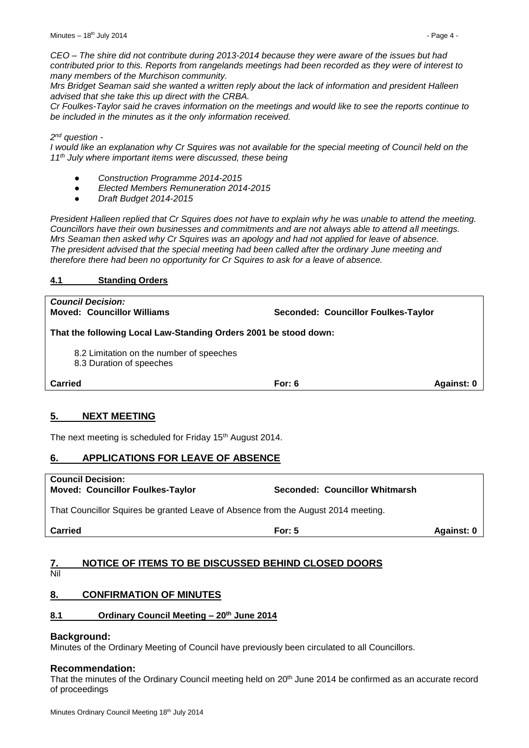*CEO – The shire did not contribute during 2013-2014 because they were aware of the issues but had contributed prior to this. Reports from rangelands meetings had been recorded as they were of interest to many members of the Murchison community.*

*Mrs Bridget Seaman said she wanted a written reply about the lack of information and president Halleen advised that she take this up direct with the CRBA.*

*Cr Foulkes-Taylor said he craves information on the meetings and would like to see the reports continue to be included in the minutes as it the only information received.*

#### *2 nd question -*

*I would like an explanation why Cr Squires was not available for the special meeting of Council held on the 11th July where important items were discussed, these being*

- *● Construction Programme 2014-2015*
- *● Elected Members Remuneration 2014-2015*
- *● Draft Budget 2014-2015*

*President Halleen replied that Cr Squires does not have to explain why he was unable to attend the meeting. Councillors have their own businesses and commitments and are not always able to attend all meetings. Mrs Seaman then asked why Cr Squires was an apology and had not applied for leave of absence. The president advised that the special meeting had been called after the ordinary June meeting and therefore there had been no opportunity for Cr Squires to ask for a leave of absence.*

#### <span id="page-3-0"></span>**4.1 Standing Orders**

*Council Decision:* **Moved: Councillor Williams Seconded: Councillor Foulkes-Taylor That the following Local Law-Standing Orders 2001 be stood down:**

8.2 Limitation on the number of speeches

8.3 Duration of speeches

**Carried For: 6 Against: 0**

# <span id="page-3-1"></span>**5. NEXT MEETING**

The next meeting is scheduled for Friday 15<sup>th</sup> August 2014.

# <span id="page-3-2"></span>**6. APPLICATIONS FOR LEAVE OF ABSENCE**

**Council Decision: Moved: Councillor Foulkes-Taylor Seconded: Councillor Whitmarsh**

That Councillor Squires be granted Leave of Absence from the August 2014 meeting.

**Carried For: 5 Against: 0**

# <span id="page-3-3"></span>**7. NOTICE OF ITEMS TO BE DISCUSSED BEHIND CLOSED DOORS**

#### Nil

# <span id="page-3-4"></span>**8. CONFIRMATION OF MINUTES**

# <span id="page-3-5"></span>**8.1 Ordinary Council Meeting – 20th June 2014**

# **Background:**

Minutes of the Ordinary Meeting of Council have previously been circulated to all Councillors.

# **Recommendation:**

That the minutes of the Ordinary Council meeting held on 20<sup>th</sup> June 2014 be confirmed as an accurate record of proceedings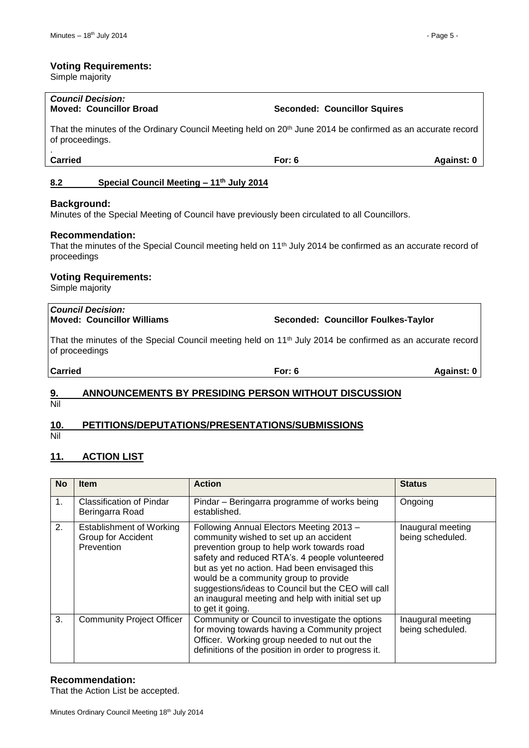#### **Voting Requirements:**

Simple majority

# *Council Decision:*

That the minutes of the Ordinary Council Meeting held on 20<sup>th</sup> June 2014 be confirmed as an accurate record of proceedings.

.

### <span id="page-4-0"></span>**8.2 Special Council Meeting – 11th July 2014**

#### **Background:**

Minutes of the Special Meeting of Council have previously been circulated to all Councillors.

#### **Recommendation:**

That the minutes of the Special Council meeting held on 11<sup>th</sup> July 2014 be confirmed as an accurate record of proceedings

#### **Voting Requirements:**

Simple majority

# *Council Decision:*

**Moved: Councillor Williams Seconded: Councillor Foulkes-Taylor**

That the minutes of the Special Council meeting held on 11<sup>th</sup> July 2014 be confirmed as an accurate record of proceedings

**Carried For: 6 Against: 0**

# <span id="page-4-1"></span>**9. ANNOUNCEMENTS BY PRESIDING PERSON WITHOUT DISCUSSION**

Nil

# <span id="page-4-2"></span>**10. PETITIONS/DEPUTATIONS/PRESENTATIONS/SUBMISSIONS**

Nil

# <span id="page-4-3"></span>**11. ACTION LIST**

| <b>No</b> | <b>Item</b>                                                         | <b>Action</b>                                                                                                                                                                                                                                                                                                                                                                                               | <b>Status</b>                         |
|-----------|---------------------------------------------------------------------|-------------------------------------------------------------------------------------------------------------------------------------------------------------------------------------------------------------------------------------------------------------------------------------------------------------------------------------------------------------------------------------------------------------|---------------------------------------|
| 1.        | <b>Classification of Pindar</b><br>Beringarra Road                  | Pindar – Beringarra programme of works being<br>established.                                                                                                                                                                                                                                                                                                                                                | Ongoing                               |
| 2.        | <b>Establishment of Working</b><br>Group for Accident<br>Prevention | Following Annual Electors Meeting 2013 -<br>community wished to set up an accident<br>prevention group to help work towards road<br>safety and reduced RTA's. 4 people volunteered<br>but as yet no action. Had been envisaged this<br>would be a community group to provide<br>suggestions/ideas to Council but the CEO will call<br>an inaugural meeting and help with initial set up<br>to get it going. | Inaugural meeting<br>being scheduled. |
| 3.        | <b>Community Project Officer</b>                                    | Community or Council to investigate the options<br>for moving towards having a Community project<br>Officer. Working group needed to nut out the<br>definitions of the position in order to progress it.                                                                                                                                                                                                    | Inaugural meeting<br>being scheduled. |

#### **Recommendation:**

That the Action List be accepted.

**Moved: Councillor Broad Seconded: Councillor Squires**

**Carried For: 6 Against: 0**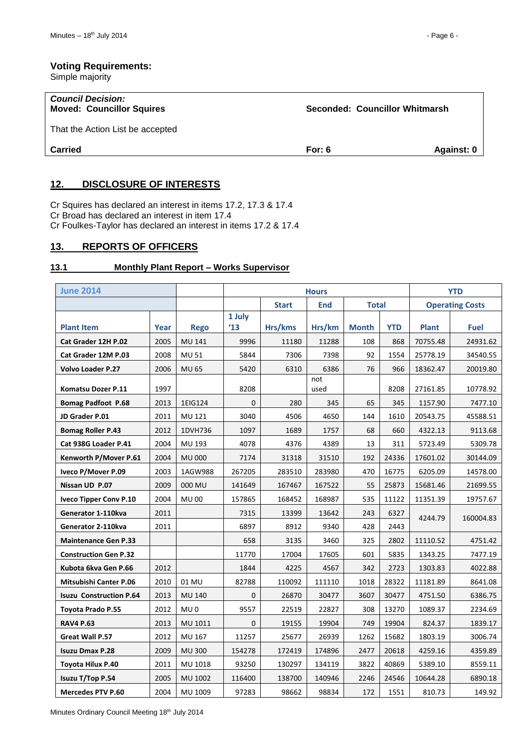#### **Voting Requirements:**

Simple majority

| <b>Council Decision:</b><br><b>Moved: Councillor Squires</b> | Seconded: Councillor Whitmarsh |            |
|--------------------------------------------------------------|--------------------------------|------------|
| That the Action List be accepted                             |                                |            |
| <b>Carried</b>                                               | For: $6$                       | Against: 0 |
|                                                              |                                |            |

# <span id="page-5-0"></span>**12. DISCLOSURE OF INTERESTS**

Cr Squires has declared an interest in items 17.2, 17.3 & 17.4 Cr Broad has declared an interest in item 17.4 Cr Foulkes-Taylor has declared an interest in items 17.2 & 17.4

## <span id="page-5-1"></span>**13. REPORTS OF OFFICERS**

#### <span id="page-5-2"></span>**13.1 Monthly Plant Report – Works Supervisor**

| <b>June 2014</b>               |      |                 | <b>Hours</b>  |              |             |              | <b>YTD</b> |                        |             |
|--------------------------------|------|-----------------|---------------|--------------|-------------|--------------|------------|------------------------|-------------|
|                                |      |                 |               | <b>Start</b> | <b>End</b>  | <b>Total</b> |            | <b>Operating Costs</b> |             |
|                                |      |                 | 1 July        |              |             |              |            |                        |             |
| <b>Plant Item</b>              | Year | <b>Rego</b>     | $^{\prime}13$ | Hrs/kms      | Hrs/km      | <b>Month</b> | <b>YTD</b> | <b>Plant</b>           | <b>Fuel</b> |
| Cat Grader 12H P.02            | 2005 | MU 141          | 9996          | 11180        | 11288       | 108          | 868        | 70755.48               | 24931.62    |
| Cat Grader 12M P.03            | 2008 | <b>MU 51</b>    | 5844          | 7306         | 7398        | 92           | 1554       | 25778.19               | 34540.55    |
| Volvo Loader P.27              | 2006 | <b>MU 65</b>    | 5420          | 6310         | 6386        | 76           | 966        | 18362.47               | 20019.80    |
| Komatsu Dozer P.11             | 1997 |                 | 8208          |              | not<br>used |              | 8208       | 27161.85               | 10778.92    |
| <b>Bomag Padfoot P.68</b>      | 2013 | 1EIG124         | 0             | 280          | 345         | 65           | 345        | 1157.90                | 7477.10     |
| JD Grader P.01                 | 2011 | MU 121          | 3040          | 4506         | 4650        | 144          | 1610       | 20543.75               | 45588.51    |
| <b>Bomag Roller P.43</b>       | 2012 | 1DVH736         | 1097          | 1689         | 1757        | 68           | 660        | 4322.13                | 9113.68     |
| Cat 938G Loader P.41           | 2004 | MU 193          | 4078          | 4376         | 4389        | 13           | 311        | 5723.49                | 5309.78     |
| Kenworth P/Mover P.61          | 2004 | <b>MU 000</b>   | 7174          | 31318        | 31510       | 192          | 24336      | 17601.02               | 30144.09    |
| Iveco P/Mover P.09             | 2003 | 1AGW988         | 267205        | 283510       | 283980      | 470          | 16775      | 6205.09                | 14578.00    |
| Nissan UD P.07                 | 2009 | 000 MU          | 141649        | 167467       | 167522      | 55           | 25873      | 15681.46               | 21699.55    |
| Iveco Tipper Conv P.10         | 2004 | <b>MU00</b>     | 157865        | 168452       | 168987      | 535          | 11122      | 11351.39               | 19757.67    |
| Generator 1-110kva             | 2011 |                 | 7315          | 13399        | 13642       | 243          | 6327       | 4244.79                | 160004.83   |
| Generator 2-110kva             | 2011 |                 | 6897          | 8912         | 9340        | 428          | 2443       |                        |             |
| <b>Maintenance Gen P.33</b>    |      |                 | 658           | 3135         | 3460        | 325          | 2802       | 11110.52               | 4751.42     |
| <b>Construction Gen P.32</b>   |      |                 | 11770         | 17004        | 17605       | 601          | 5835       | 1343.25                | 7477.19     |
| Kubota 6kva Gen P.66           | 2012 |                 | 1844          | 4225         | 4567        | 342          | 2723       | 1303.83                | 4022.88     |
| <b>Mitsubishi Canter P.06</b>  | 2010 | 01 MU           | 82788         | 110092       | 111110      | 1018         | 28322      | 11181.89               | 8641.08     |
| <b>Isuzu Construction P.64</b> | 2013 | <b>MU 140</b>   | 0             | 26870        | 30477       | 3607         | 30477      | 4751.50                | 6386.75     |
| <b>Toyota Prado P.55</b>       | 2012 | MU <sub>0</sub> | 9557          | 22519        | 22827       | 308          | 13270      | 1089.37                | 2234.69     |
| <b>RAV4 P.63</b>               | 2013 | MU 1011         | 0             | 19155        | 19904       | 749          | 19904      | 824.37                 | 1839.17     |
| Great Wall P.57                | 2012 | MU 167          | 11257         | 25677        | 26939       | 1262         | 15682      | 1803.19                | 3006.74     |
| <b>Isuzu Dmax P.28</b>         | 2009 | <b>MU 300</b>   | 154278        | 172419       | 174896      | 2477         | 20618      | 4259.16                | 4359.89     |
| Toyota Hilux P.40              | 2011 | MU 1018         | 93250         | 130297       | 134119      | 3822         | 40869      | 5389.10                | 8559.11     |
| Isuzu T/Top P.54               | 2005 | MU 1002         | 116400        | 138700       | 140946      | 2246         | 24546      | 10644.28               | 6890.18     |
| <b>Mercedes PTV P.60</b>       | 2004 | MU 1009         | 97283         | 98662        | 98834       | 172          | 1551       | 810.73                 | 149.92      |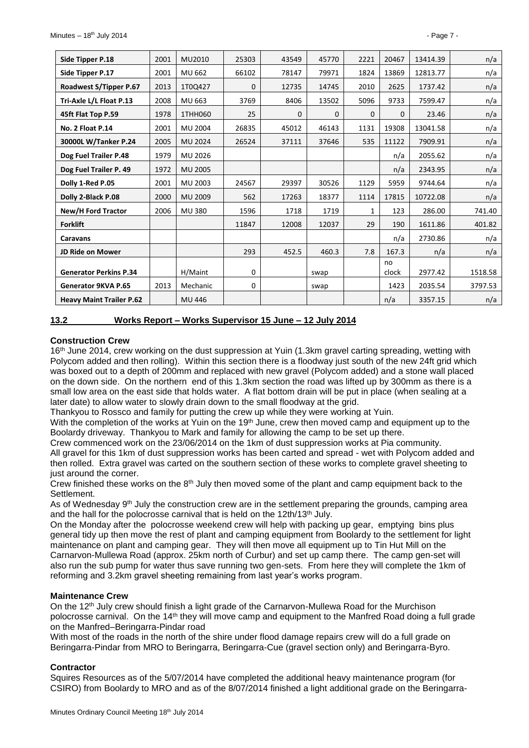| Side Tipper P.18                | 2001 | MU2010         | 25303    | 43549 | 45770 | 2221     | 20467       | 13414.39 | n/a     |
|---------------------------------|------|----------------|----------|-------|-------|----------|-------------|----------|---------|
| Side Tipper P.17                | 2001 | MU 662         | 66102    | 78147 | 79971 | 1824     | 13869       | 12813.77 | n/a     |
| Roadwest S/Tipper P.67          | 2013 | 1T0Q427        | $\Omega$ | 12735 | 14745 | 2010     | 2625        | 1737.42  | n/a     |
| Tri-Axle L/L Float P.13         | 2008 | MU 663         | 3769     | 8406  | 13502 | 5096     | 9733        | 7599.47  | n/a     |
| 45ft Flat Top P.59              | 1978 | 1THH060        | 25       | 0     | 0     | $\Omega$ | 0           | 23.46    | n/a     |
| No. 2 Float P.14                | 2001 | <b>MU 2004</b> | 26835    | 45012 | 46143 | 1131     | 19308       | 13041.58 | n/a     |
| 30000L W/Tanker P.24            | 2005 | <b>MU 2024</b> | 26524    | 37111 | 37646 | 535      | 11122       | 7909.91  | n/a     |
| Dog Fuel Trailer P.48           | 1979 | MU 2026        |          |       |       |          | n/a         | 2055.62  | n/a     |
| Dog Fuel Trailer P. 49          | 1972 | <b>MU 2005</b> |          |       |       |          | n/a         | 2343.95  | n/a     |
| Dolly 1-Red P.05                | 2001 | MU 2003        | 24567    | 29397 | 30526 | 1129     | 5959        | 9744.64  | n/a     |
| Dolly 2-Black P.08              | 2000 | <b>MU 2009</b> | 562      | 17263 | 18377 | 1114     | 17815       | 10722.08 | n/a     |
| New/H Ford Tractor              | 2006 | <b>MU380</b>   | 1596     | 1718  | 1719  | 1        | 123         | 286.00   | 741.40  |
| <b>Forklift</b>                 |      |                | 11847    | 12008 | 12037 | 29       | 190         | 1611.86  | 401.82  |
| Caravans                        |      |                |          |       |       |          | n/a         | 2730.86  | n/a     |
| <b>JD Ride on Mower</b>         |      |                | 293      | 452.5 | 460.3 | 7.8      | 167.3       | n/a      | n/a     |
| <b>Generator Perkins P.34</b>   |      | H/Maint        | 0        |       | swap  |          | no<br>clock | 2977.42  | 1518.58 |
| Generator 9KVA P.65             | 2013 | Mechanic       | 0        |       | swap  |          | 1423        | 2035.54  | 3797.53 |
| <b>Heavy Maint Trailer P.62</b> |      | MU 446         |          |       |       |          | n/a         | 3357.15  | n/a     |

#### <span id="page-6-0"></span>**13.2 Works Report – Works Supervisor 15 June – 12 July 2014**

#### **Construction Crew**

16<sup>th</sup> June 2014, crew working on the dust suppression at Yuin (1.3km gravel carting spreading, wetting with Polycom added and then rolling). Within this section there is a floodway just south of the new 24ft grid which was boxed out to a depth of 200mm and replaced with new gravel (Polycom added) and a stone wall placed on the down side. On the northern end of this 1.3km section the road was lifted up by 300mm as there is a small low area on the east side that holds water. A flat bottom drain will be put in place (when sealing at a later date) to allow water to slowly drain down to the small floodway at the grid.

Thankyou to Rossco and family for putting the crew up while they were working at Yuin.

With the completion of the works at Yuin on the 19<sup>th</sup> June, crew then moved camp and equipment up to the Boolardy driveway. Thankyou to Mark and family for allowing the camp to be set up there.

Crew commenced work on the 23/06/2014 on the 1km of dust suppression works at Pia community. All gravel for this 1km of dust suppression works has been carted and spread - wet with Polycom added and then rolled. Extra gravel was carted on the southern section of these works to complete gravel sheeting to just around the corner.

Crew finished these works on the  $8<sup>th</sup>$  July then moved some of the plant and camp equipment back to the Settlement.

As of Wednesday  $9<sup>th</sup>$  July the construction crew are in the settlement preparing the grounds, camping area and the hall for the polocrosse carnival that is held on the 12th/13<sup>th</sup> July.

On the Monday after the polocrosse weekend crew will help with packing up gear, emptying bins plus general tidy up then move the rest of plant and camping equipment from Boolardy to the settlement for light maintenance on plant and camping gear. They will then move all equipment up to Tin Hut Mill on the Carnarvon-Mullewa Road (approx. 25km north of Curbur) and set up camp there. The camp gen-set will also run the sub pump for water thus save running two gen-sets. From here they will complete the 1km of reforming and 3.2km gravel sheeting remaining from last year's works program.

#### **Maintenance Crew**

On the 12<sup>th</sup> July crew should finish a light grade of the Carnarvon-Mullewa Road for the Murchison polocrosse carnival. On the 14th they will move camp and equipment to the Manfred Road doing a full grade on the Manfred–Beringarra-Pindar road

With most of the roads in the north of the shire under flood damage repairs crew will do a full grade on Beringarra-Pindar from MRO to Beringarra, Beringarra-Cue (gravel section only) and Beringarra-Byro.

#### **Contractor**

Squires Resources as of the 5/07/2014 have completed the additional heavy maintenance program (for CSIRO) from Boolardy to MRO and as of the 8/07/2014 finished a light additional grade on the Beringarra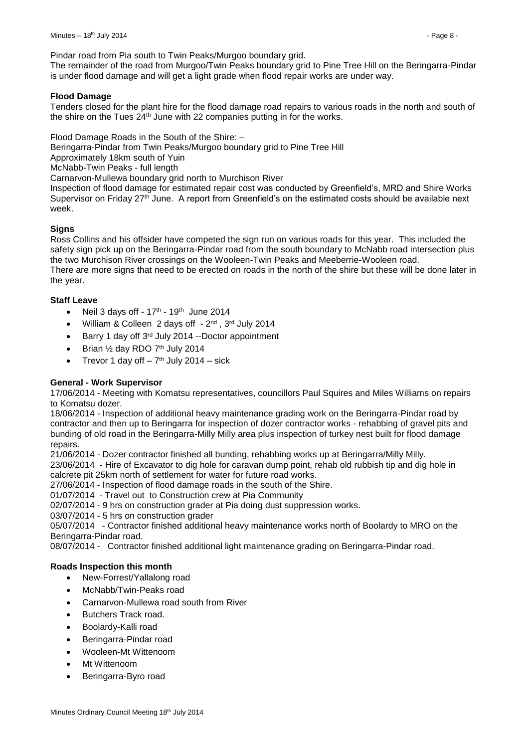Pindar road from Pia south to Twin Peaks/Murgoo boundary grid.

The remainder of the road from Murgoo/Twin Peaks boundary grid to Pine Tree Hill on the Beringarra-Pindar is under flood damage and will get a light grade when flood repair works are under way.

#### **Flood Damage**

Tenders closed for the plant hire for the flood damage road repairs to various roads in the north and south of the shire on the Tues 24th June with 22 companies putting in for the works.

Flood Damage Roads in the South of the Shire: –

Beringarra-Pindar from Twin Peaks/Murgoo boundary grid to Pine Tree Hill

Approximately 18km south of Yuin

McNabb-Twin Peaks - full length

Carnarvon-Mullewa boundary grid north to Murchison River

Inspection of flood damage for estimated repair cost was conducted by Greenfield's, MRD and Shire Works Supervisor on Friday 27<sup>th</sup> June. A report from Greenfield's on the estimated costs should be available next week.

#### **Signs**

Ross Collins and his offsider have competed the sign run on various roads for this year. This included the safety sign pick up on the Beringarra-Pindar road from the south boundary to McNabb road intersection plus the two Murchison River crossings on the Wooleen-Twin Peaks and Meeberrie-Wooleen road.

There are more signs that need to be erected on roads in the north of the shire but these will be done later in the year.

#### **Staff Leave**

- Neil 3 days off  $17<sup>th</sup>$   $19<sup>th</sup>$  June 2014
- William & Colleen 2 days off 2<sup>nd</sup>, 3<sup>rd</sup> July 2014
- Barry 1 day off 3rd July 2014 --Doctor appointment
- Brian 1/2 day RDO 7<sup>th</sup> July 2014
- Trevor 1 day off  $-7<sup>th</sup>$  July 2014  $-$  sick

#### **General - Work Supervisor**

17/06/2014 - Meeting with Komatsu representatives, councillors Paul Squires and Miles Williams on repairs to Komatsu dozer.

18/06/2014 - Inspection of additional heavy maintenance grading work on the Beringarra-Pindar road by contractor and then up to Beringarra for inspection of dozer contractor works - rehabbing of gravel pits and bunding of old road in the Beringarra-Milly Milly area plus inspection of turkey nest built for flood damage repairs.

21/06/2014 - Dozer contractor finished all bunding, rehabbing works up at Beringarra/Milly Milly.

23/06/2014 - Hire of Excavator to dig hole for caravan dump point, rehab old rubbish tip and dig hole in calcrete pit 25km north of settlement for water for future road works.

27/06/2014 - Inspection of flood damage roads in the south of the Shire.

01/07/2014 - Travel out to Construction crew at Pia Community

02/07/2014 - 9 hrs on construction grader at Pia doing dust suppression works.

03/07/2014 - 5 hrs on construction grader

05/07/2014 - Contractor finished additional heavy maintenance works north of Boolardy to MRO on the Beringarra-Pindar road.

08/07/2014 - Contractor finished additional light maintenance grading on Beringarra-Pindar road.

#### **Roads Inspection this month**

- New-Forrest/Yallalong road
- McNabb/Twin-Peaks road
- Carnarvon-Mullewa road south from River
- Butchers Track road.
- Boolardy-Kalli road
- Beringarra-Pindar road
- Wooleen-Mt Wittenoom
- Mt Wittenoom
- Beringarra-Byro road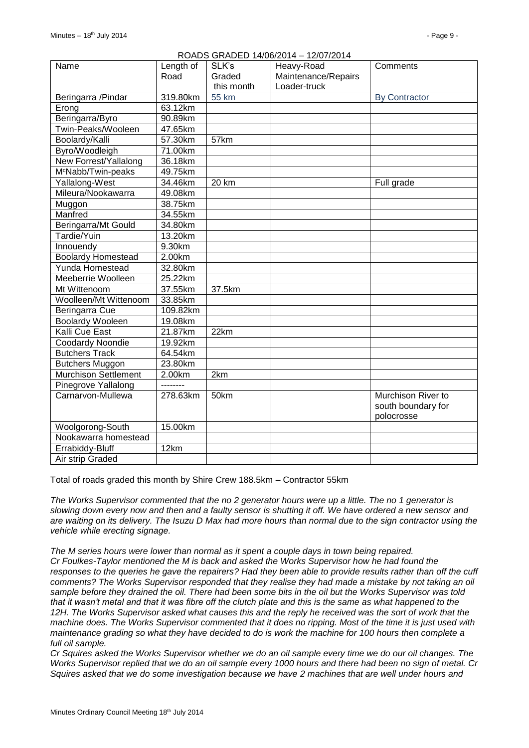| Name                           | Length of | SLK's      | ROADS GRADED 14/06/2014 - 12/07/2014<br>Heavy-Road | Comments             |
|--------------------------------|-----------|------------|----------------------------------------------------|----------------------|
|                                | Road      | Graded     | Maintenance/Repairs                                |                      |
|                                |           | this month | Loader-truck                                       |                      |
| Beringarra /Pindar             | 319.80km  | 55 km      |                                                    | <b>By Contractor</b> |
| Erong                          | 63.12km   |            |                                                    |                      |
| Beringarra/Byro                | 90.89km   |            |                                                    |                      |
| Twin-Peaks/Wooleen             | 47.65km   |            |                                                    |                      |
| Boolardy/Kalli                 | 57.30km   | 57km       |                                                    |                      |
| Byro/Woodleigh                 | 71.00km   |            |                                                    |                      |
| New Forrest/Yallalong          | 36.18km   |            |                                                    |                      |
| M <sup>c</sup> Nabb/Twin-peaks | 49.75km   |            |                                                    |                      |
| Yallalong-West                 | 34.46km   | 20 km      |                                                    | Full grade           |
| Mileura/Nookawarra             | 49.08km   |            |                                                    |                      |
| Muggon                         | 38.75km   |            |                                                    |                      |
| Manfred                        | 34.55km   |            |                                                    |                      |
| Beringarra/Mt Gould            | 34.80km   |            |                                                    |                      |
| Tardie/Yuin                    | 13.20km   |            |                                                    |                      |
| Innouendy                      | 9.30km    |            |                                                    |                      |
| <b>Boolardy Homestead</b>      | 2.00km    |            |                                                    |                      |
| Yunda Homestead                | 32.80km   |            |                                                    |                      |
| Meeberrie Woolleen             | 25.22km   |            |                                                    |                      |
| Mt Wittenoom                   | 37.55km   | 37.5km     |                                                    |                      |
| Woolleen/Mt Wittenoom          | 33.85km   |            |                                                    |                      |
| Beringarra Cue                 | 109.82km  |            |                                                    |                      |
| <b>Boolardy Wooleen</b>        | 19.08km   |            |                                                    |                      |
| Kalli Cue East                 | 21.87km   | 22km       |                                                    |                      |
| Coodardy Noondie               | 19.92km   |            |                                                    |                      |
| <b>Butchers Track</b>          | 64.54km   |            |                                                    |                      |
| <b>Butchers Muggon</b>         | 23.80km   |            |                                                    |                      |
| <b>Murchison Settlement</b>    | 2.00km    | 2km        |                                                    |                      |
| Pinegrove Yallalong            | --------  |            |                                                    |                      |
| Carnarvon-Mullewa              | 278.63km  | 50km       |                                                    | Murchison River to   |
|                                |           |            |                                                    | south boundary for   |
|                                |           |            |                                                    | polocrosse           |
| Woolgorong-South               | 15.00km   |            |                                                    |                      |
| Nookawarra homestead           |           |            |                                                    |                      |
| Errabiddy-Bluff                | 12km      |            |                                                    |                      |
| Air strip Graded               |           |            |                                                    |                      |

# ROADS GRADED 14/06/2014 – 12/07/2014

Total of roads graded this month by Shire Crew 188.5km – Contractor 55km

*The Works Supervisor commented that the no 2 generator hours were up a little. The no 1 generator is slowing down every now and then and a faulty sensor is shutting it off. We have ordered a new sensor and are waiting on its delivery. The Isuzu D Max had more hours than normal due to the sign contractor using the vehicle while erecting signage.*

*The M series hours were lower than normal as it spent a couple days in town being repaired. Cr Foulkes-Taylor mentioned the M is back and asked the Works Supervisor how he had found the responses to the queries he gave the repairers? Had they been able to provide results rather than off the cuff comments? The Works Supervisor responded that they realise they had made a mistake by not taking an oil sample before they drained the oil. There had been some bits in the oil but the Works Supervisor was told that it wasn't metal and that it was fibre off the clutch plate and this is the same as what happened to the 12H. The Works Supervisor asked what causes this and the reply he received was the sort of work that the machine does. The Works Supervisor commented that it does no ripping. Most of the time it is just used with maintenance grading so what they have decided to do is work the machine for 100 hours then complete a full oil sample.* 

*Cr Squires asked the Works Supervisor whether we do an oil sample every time we do our oil changes. The Works Supervisor replied that we do an oil sample every 1000 hours and there had been no sign of metal. Cr Squires asked that we do some investigation because we have 2 machines that are well under hours and*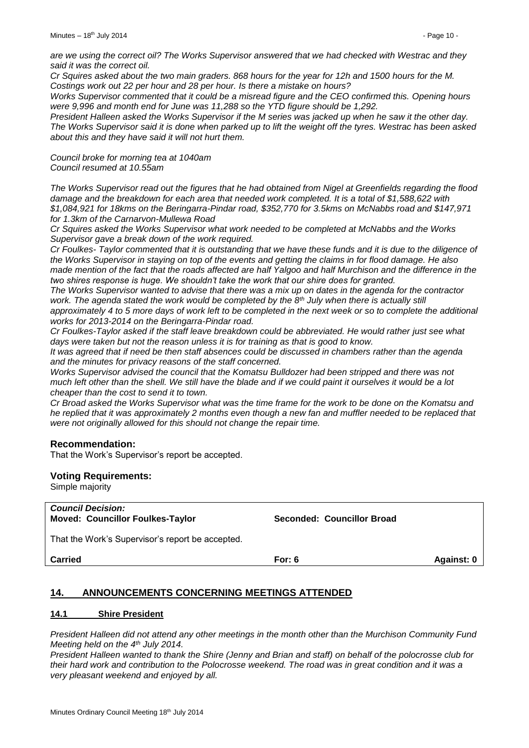*are we using the correct oil? The Works Supervisor answered that we had checked with Westrac and they said it was the correct oil.*

*Cr Squires asked about the two main graders. 868 hours for the year for 12h and 1500 hours for the M. Costings work out 22 per hour and 28 per hour. Is there a mistake on hours?*

*Works Supervisor commented that it could be a misread figure and the CEO confirmed this. Opening hours were 9,996 and month end for June was 11,288 so the YTD figure should be 1,292.*

*President Halleen asked the Works Supervisor if the M series was jacked up when he saw it the other day. The Works Supervisor said it is done when parked up to lift the weight off the tyres. Westrac has been asked about this and they have said it will not hurt them.* 

*Council broke for morning tea at 1040am Council resumed at 10.55am*

*The Works Supervisor read out the figures that he had obtained from Nigel at Greenfields regarding the flood damage and the breakdown for each area that needed work completed. It is a total of \$1,588,622 with \$1,084,921 for 18kms on the Beringarra-Pindar road, \$352,770 for 3.5kms on McNabbs road and \$147,971 for 1.3km of the Carnarvon-Mullewa Road*

*Cr Squires asked the Works Supervisor what work needed to be completed at McNabbs and the Works Supervisor gave a break down of the work required.*

*Cr Foulkes- Taylor commented that it is outstanding that we have these funds and it is due to the diligence of the Works Supervisor in staying on top of the events and getting the claims in for flood damage. He also made mention of the fact that the roads affected are half Yalgoo and half Murchison and the difference in the two shires response is huge. We shouldn't take the work that our shire does for granted.*

*The Works Supervisor wanted to advise that there was a mix up on dates in the agenda for the contractor work. The agenda stated the work would be completed by the 8th July when there is actually still* 

*approximately 4 to 5 more days of work left to be completed in the next week or so to complete the additional works for 2013-2014 on the Beringarra-Pindar road.*

*Cr Foulkes-Taylor asked if the staff leave breakdown could be abbreviated. He would rather just see what days were taken but not the reason unless it is for training as that is good to know.*

*It was agreed that if need be then staff absences could be discussed in chambers rather than the agenda and the minutes for privacy reasons of the staff concerned.*

*Works Supervisor advised the council that the Komatsu Bulldozer had been stripped and there was not much left other than the shell. We still have the blade and if we could paint it ourselves it would be a lot cheaper than the cost to send it to town.*

*Cr Broad asked the Works Supervisor what was the time frame for the work to be done on the Komatsu and he replied that it was approximately 2 months even though a new fan and muffler needed to be replaced that were not originally allowed for this should not change the repair time.*

#### **Recommendation:**

That the Work's Supervisor's report be accepted.

#### **Voting Requirements:**

Simple majority

| <b>Council Decision:</b><br><b>Moved: Councillor Foulkes-Taylor</b> | Seconded: Councillor Broad |            |
|---------------------------------------------------------------------|----------------------------|------------|
| That the Work's Supervisor's report be accepted.                    |                            |            |
| <b>Carried</b>                                                      | For: $6$                   | Against: 0 |

# <span id="page-9-0"></span>**14. ANNOUNCEMENTS CONCERNING MEETINGS ATTENDED**

#### <span id="page-9-1"></span>**14.1 Shire President**

*President Halleen did not attend any other meetings in the month other than the Murchison Community Fund Meeting held on the 4th July 2014.*

*President Halleen wanted to thank the Shire (Jenny and Brian and staff) on behalf of the polocrosse club for their hard work and contribution to the Polocrosse weekend. The road was in great condition and it was a very pleasant weekend and enjoyed by all.*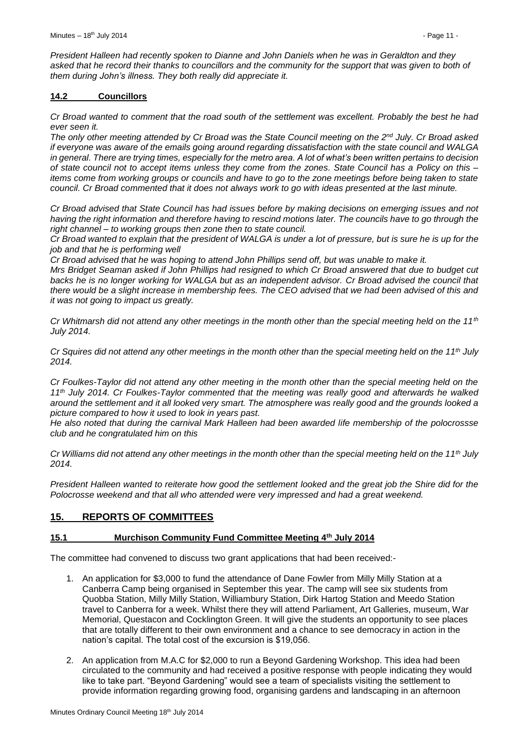*President Halleen had recently spoken to Dianne and John Daniels when he was in Geraldton and they asked that he record their thanks to councillors and the community for the support that was given to both of them during John's illness. They both really did appreciate it.*

#### <span id="page-10-0"></span>**14.2 Councillors**

*Cr Broad wanted to comment that the road south of the settlement was excellent. Probably the best he had ever seen it.*

*The only other meeting attended by Cr Broad was the State Council meeting on the 2nd July. Cr Broad asked if everyone was aware of the emails going around regarding dissatisfaction with the state council and WALGA in general. There are trying times, especially for the metro area. A lot of what's been written pertains to decision of state council not to accept items unless they come from the zones. State Council has a Policy on this – items come from working groups or councils and have to go to the zone meetings before being taken to state council. Cr Broad commented that it does not always work to go with ideas presented at the last minute.*

*Cr Broad advised that State Council has had issues before by making decisions on emerging issues and not having the right information and therefore having to rescind motions later. The councils have to go through the right channel – to working groups then zone then to state council.*

*Cr Broad wanted to explain that the president of WALGA is under a lot of pressure, but is sure he is up for the job and that he is performing well*

*Cr Broad advised that he was hoping to attend John Phillips send off, but was unable to make it.*

*Mrs Bridget Seaman asked if John Phillips had resigned to which Cr Broad answered that due to budget cut backs he is no longer working for WALGA but as an independent advisor. Cr Broad advised the council that there would be a slight increase in membership fees. The CEO advised that we had been advised of this and it was not going to impact us greatly.*

*Cr Whitmarsh did not attend any other meetings in the month other than the special meeting held on the 11th July 2014.*

*Cr Squires did not attend any other meetings in the month other than the special meeting held on the 11th July 2014.*

*Cr Foulkes-Taylor did not attend any other meeting in the month other than the special meeting held on the 11th July 2014. Cr Foulkes-Taylor commented that the meeting was really good and afterwards he walked around the settlement and it all looked very smart. The atmosphere was really good and the grounds looked a picture compared to how it used to look in years past.*

*He also noted that during the carnival Mark Halleen had been awarded life membership of the polocrossse club and he congratulated him on this*

*Cr Williams did not attend any other meetings in the month other than the special meeting held on the 11th July 2014.*

*President Halleen wanted to reiterate how good the settlement looked and the great job the Shire did for the Polocrosse weekend and that all who attended were very impressed and had a great weekend.*

# <span id="page-10-1"></span>**15. REPORTS OF COMMITTEES**

# <span id="page-10-2"></span>**15.1 Murchison Community Fund Committee Meeting 4th July 2014**

The committee had convened to discuss two grant applications that had been received:-

- 1. An application for \$3,000 to fund the attendance of Dane Fowler from Milly Milly Station at a Canberra Camp being organised in September this year. The camp will see six students from Quobba Station, Milly Milly Station, Williambury Station, Dirk Hartog Station and Meedo Station travel to Canberra for a week. Whilst there they will attend Parliament, Art Galleries, museum, War Memorial, Questacon and Cocklington Green. It will give the students an opportunity to see places that are totally different to their own environment and a chance to see democracy in action in the nation's capital. The total cost of the excursion is \$19,056.
- 2. An application from M.A.C for \$2,000 to run a Beyond Gardening Workshop. This idea had been circulated to the community and had received a positive response with people indicating they would like to take part. "Beyond Gardening" would see a team of specialists visiting the settlement to provide information regarding growing food, organising gardens and landscaping in an afternoon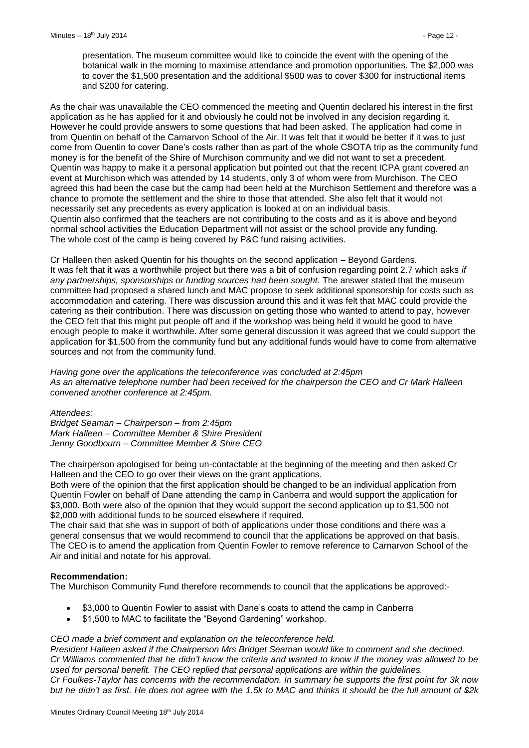presentation. The museum committee would like to coincide the event with the opening of the botanical walk in the morning to maximise attendance and promotion opportunities. The \$2,000 was to cover the \$1,500 presentation and the additional \$500 was to cover \$300 for instructional items and \$200 for catering.

As the chair was unavailable the CEO commenced the meeting and Quentin declared his interest in the first application as he has applied for it and obviously he could not be involved in any decision regarding it. However he could provide answers to some questions that had been asked. The application had come in from Quentin on behalf of the Carnarvon School of the Air. It was felt that it would be better if it was to just come from Quentin to cover Dane's costs rather than as part of the whole CSOTA trip as the community fund money is for the benefit of the Shire of Murchison community and we did not want to set a precedent. Quentin was happy to make it a personal application but pointed out that the recent ICPA grant covered an event at Murchison which was attended by 14 students, only 3 of whom were from Murchison. The CEO agreed this had been the case but the camp had been held at the Murchison Settlement and therefore was a chance to promote the settlement and the shire to those that attended. She also felt that it would not necessarily set any precedents as every application is looked at on an individual basis. Quentin also confirmed that the teachers are not contributing to the costs and as it is above and beyond normal school activities the Education Department will not assist or the school provide any funding. The whole cost of the camp is being covered by P&C fund raising activities.

Cr Halleen then asked Quentin for his thoughts on the second application – Beyond Gardens. It was felt that it was a worthwhile project but there was a bit of confusion regarding point 2.7 which asks *if any partnerships, sponsorships or funding sources had been sought.* The answer stated that the museum committee had proposed a shared lunch and MAC propose to seek additional sponsorship for costs such as accommodation and catering. There was discussion around this and it was felt that MAC could provide the catering as their contribution. There was discussion on getting those who wanted to attend to pay, however the CEO felt that this might put people off and if the workshop was being held it would be good to have enough people to make it worthwhile. After some general discussion it was agreed that we could support the application for \$1,500 from the community fund but any additional funds would have to come from alternative sources and not from the community fund.

*Having gone over the applications the teleconference was concluded at 2:45pm As an alternative telephone number had been received for the chairperson the CEO and Cr Mark Halleen convened another conference at 2:45pm.*

*Attendees: Bridget Seaman – Chairperson – from 2:45pm Mark Halleen – Committee Member & Shire President Jenny Goodbourn – Committee Member & Shire CEO*

The chairperson apologised for being un-contactable at the beginning of the meeting and then asked Cr Halleen and the CEO to go over their views on the grant applications.

Both were of the opinion that the first application should be changed to be an individual application from Quentin Fowler on behalf of Dane attending the camp in Canberra and would support the application for \$3,000. Both were also of the opinion that they would support the second application up to \$1,500 not \$2,000 with additional funds to be sourced elsewhere if required.

The chair said that she was in support of both of applications under those conditions and there was a general consensus that we would recommend to council that the applications be approved on that basis. The CEO is to amend the application from Quentin Fowler to remove reference to Carnarvon School of the Air and initial and notate for his approval.

#### **Recommendation:**

The Murchison Community Fund therefore recommends to council that the applications be approved:-

- \$3,000 to Quentin Fowler to assist with Dane's costs to attend the camp in Canberra
- \$1,500 to MAC to facilitate the "Beyond Gardening" workshop.

#### *CEO made a brief comment and explanation on the teleconference held.*

*President Halleen asked if the Chairperson Mrs Bridget Seaman would like to comment and she declined. Cr Williams commented that he didn't know the criteria and wanted to know if the money was allowed to be used for personal benefit. The CEO replied that personal applications are within the guidelines. Cr Foulkes-Taylor has concerns with the recommendation. In summary he supports the first point for 3k now but he didn't as first. He does not agree with the 1.5k to MAC and thinks it should be the full amount of \$2k*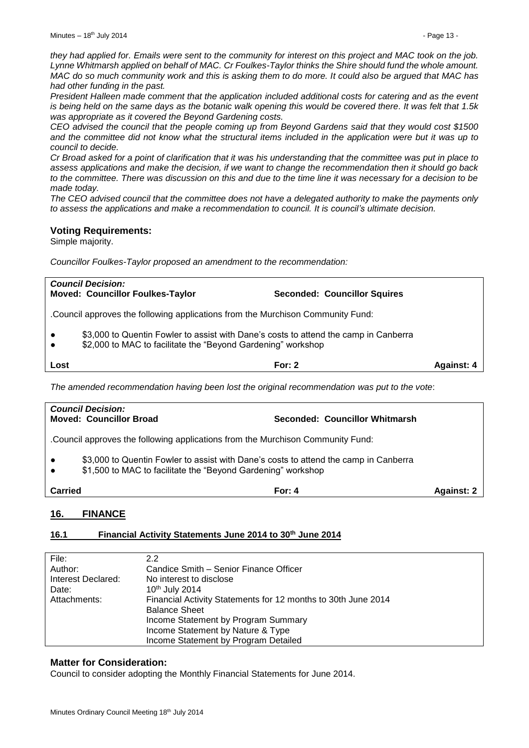*they had applied for. Emails were sent to the community for interest on this project and MAC took on the job. Lynne Whitmarsh applied on behalf of MAC. Cr Foulkes-Taylor thinks the Shire should fund the whole amount. MAC do so much community work and this is asking them to do more. It could also be argued that MAC has had other funding in the past.*

*President Halleen made comment that the application included additional costs for catering and as the event is being held on the same days as the botanic walk opening this would be covered there. It was felt that 1.5k was appropriate as it covered the Beyond Gardening costs.*

*CEO advised the council that the people coming up from Beyond Gardens said that they would cost \$1500 and the committee did not know what the structural items included in the application were but it was up to council to decide.*

*Cr Broad asked for a point of clarification that it was his understanding that the committee was put in place to assess applications and make the decision, if we want to change the recommendation then it should go back to the committee. There was discussion on this and due to the time line it was necessary for a decision to be made today.*

*The CEO advised council that the committee does not have a delegated authority to make the payments only to assess the applications and make a recommendation to council. It is council's ultimate decision.*

### **Voting Requirements:**

Simple majority.

*Councillor Foulkes-Taylor proposed an amendment to the recommendation:*

|                                                                                              | <b>Council Decision:</b><br><b>Moved: Councillor Foulkes-Taylor</b>                                                                                  | <b>Seconded: Councillor Squires</b> |  |  |  |  |
|----------------------------------------------------------------------------------------------|------------------------------------------------------------------------------------------------------------------------------------------------------|-------------------------------------|--|--|--|--|
|                                                                                              | .Council approves the following applications from the Murchison Community Fund:                                                                      |                                     |  |  |  |  |
| $\bullet$<br>$\bullet$                                                                       | \$3,000 to Quentin Fowler to assist with Dane's costs to attend the camp in Canberra<br>\$2,000 to MAC to facilitate the "Beyond Gardening" workshop |                                     |  |  |  |  |
| Lost                                                                                         | For: $2$<br><b>Against: 4</b>                                                                                                                        |                                     |  |  |  |  |
| The amended recommendation having been lost the original recommendation was put to the vote: |                                                                                                                                                      |                                     |  |  |  |  |

| <b>Council Decision:</b><br><b>Moved: Councillor Broad</b>                       | Seconded: Councillor Whitmarsh                                                                                                                       |                   |  |  |  |
|----------------------------------------------------------------------------------|------------------------------------------------------------------------------------------------------------------------------------------------------|-------------------|--|--|--|
| . Council approves the following applications from the Murchison Community Fund: |                                                                                                                                                      |                   |  |  |  |
| $\bullet$<br>$\bullet$                                                           | \$3,000 to Quentin Fowler to assist with Dane's costs to attend the camp in Canberra<br>\$1,500 to MAC to facilitate the "Beyond Gardening" workshop |                   |  |  |  |
| <b>Carried</b>                                                                   | For: $4$                                                                                                                                             | <b>Against: 2</b> |  |  |  |
|                                                                                  |                                                                                                                                                      |                   |  |  |  |

# <span id="page-12-0"></span>**16. FINANCE**

# <span id="page-12-1"></span>**16.1 Financial Activity Statements June 2014 to 30th June 2014**

| File:              | $2.2\phantom{0}$                                              |
|--------------------|---------------------------------------------------------------|
| Author:            | Candice Smith - Senior Finance Officer                        |
| Interest Declared: | No interest to disclose                                       |
| Date:              | 10th July 2014                                                |
| Attachments:       | Financial Activity Statements for 12 months to 30th June 2014 |
|                    | <b>Balance Sheet</b>                                          |
|                    | Income Statement by Program Summary                           |
|                    | Income Statement by Nature & Type                             |
|                    | Income Statement by Program Detailed                          |

# **Matter for Consideration:**

Council to consider adopting the Monthly Financial Statements for June 2014.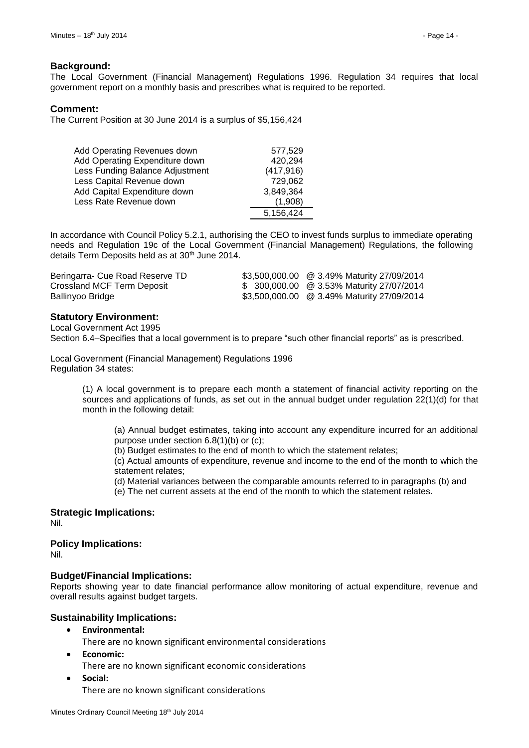#### **Background:**

The Local Government (Financial Management) Regulations 1996. Regulation 34 requires that local government report on a monthly basis and prescribes what is required to be reported.

#### **Comment:**

The Current Position at 30 June 2014 is a surplus of \$5,156,424

| Add Operating Revenues down     | 577,529    |
|---------------------------------|------------|
| Add Operating Expenditure down  | 420,294    |
| Less Funding Balance Adjustment | (417, 916) |
| Less Capital Revenue down       | 729,062    |
| Add Capital Expenditure down    | 3,849,364  |
| Less Rate Revenue down          | (1.908)    |
|                                 | 5,156,424  |

In accordance with Council Policy 5.2.1, authorising the CEO to invest funds surplus to immediate operating needs and Regulation 19c of the Local Government (Financial Management) Regulations, the following details Term Deposits held as at 30<sup>th</sup> June 2014.

| Beringarra- Cue Road Reserve TD | \$3,500,000.00 @ 3.49% Maturity 27/09/2014 |
|---------------------------------|--------------------------------------------|
| Crossland MCF Term Deposit      | \$ 300,000.00 @ 3.53% Maturity 27/07/2014  |
| Ballinyoo Bridge                | \$3,500,000.00 @ 3.49% Maturity 27/09/2014 |

#### **Statutory Environment:**

Local Government Act 1995 Section 6.4–Specifies that a local government is to prepare "such other financial reports" as is prescribed.

Local Government (Financial Management) Regulations 1996 Regulation 34 states:

> (1) A local government is to prepare each month a statement of financial activity reporting on the sources and applications of funds, as set out in the annual budget under regulation 22(1)(d) for that month in the following detail:

(a) Annual budget estimates, taking into account any expenditure incurred for an additional purpose under section 6.8(1)(b) or (c);

(b) Budget estimates to the end of month to which the statement relates;

(c) Actual amounts of expenditure, revenue and income to the end of the month to which the statement relates;

(d) Material variances between the comparable amounts referred to in paragraphs (b) and

(e) The net current assets at the end of the month to which the statement relates.

# **Strategic Implications:**

Nil.

#### **Policy Implications:**

Nil.

#### **Budget/Financial Implications:**

Reports showing year to date financial performance allow monitoring of actual expenditure, revenue and overall results against budget targets.

#### **Sustainability Implications:**

**Environmental:**

There are no known significant environmental considerations

- **Economic:**
	- There are no known significant economic considerations
- **Social:**

There are no known significant considerations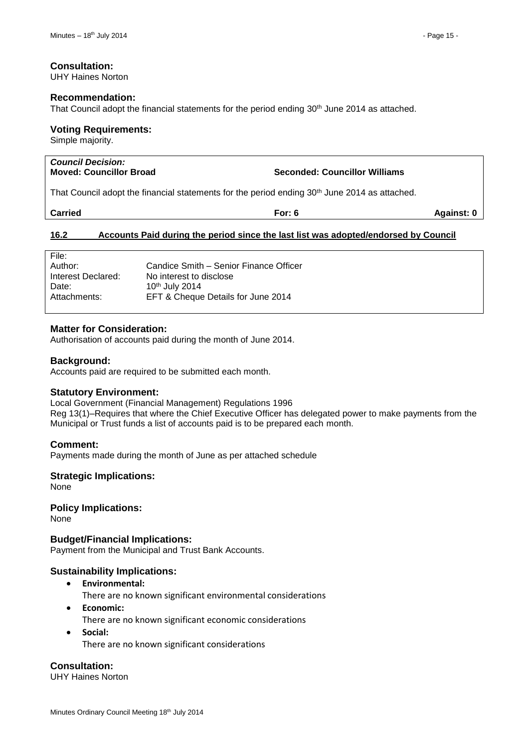#### **Consultation:**

UHY Haines Norton

#### **Recommendation:**

That Council adopt the financial statements for the period ending 30th June 2014 as attached.

#### **Voting Requirements:**

Simple majority.

| <b>Council Decision:</b><br><b>Moved: Councillor Broad</b>                                                               | <b>Seconded: Councillor Williams</b> |
|--------------------------------------------------------------------------------------------------------------------------|--------------------------------------|
| That Occurs it is short that the series of the term and the series of an single OOM there are a series of a structure of |                                      |

That Council adopt the financial statements for the period ending 30th June 2014 as attached.

| <b>Carried</b><br>For:<br>Ð | Against: 0 |
|-----------------------------|------------|
|-----------------------------|------------|

#### <span id="page-14-0"></span>**16.2 Accounts Paid during the period since the last list was adopted/endorsed by Council**

| Candice Smith – Senior Finance Officer |
|----------------------------------------|
| No interest to disclose                |
|                                        |
| EFT & Cheque Details for June 2014     |
|                                        |

#### **Matter for Consideration:**

Authorisation of accounts paid during the month of June 2014.

#### **Background:**

Accounts paid are required to be submitted each month.

#### **Statutory Environment:**

Local Government (Financial Management) Regulations 1996 Reg 13(1)–Requires that where the Chief Executive Officer has delegated power to make payments from the Municipal or Trust funds a list of accounts paid is to be prepared each month.

#### **Comment:**

Payments made during the month of June as per attached schedule

#### **Strategic Implications:**

None

**Policy Implications:** None

**Budget/Financial Implications:** Payment from the Municipal and Trust Bank Accounts.

# **Sustainability Implications:**

**Environmental:**

There are no known significant environmental considerations

- **Economic:** There are no known significant economic considerations
- **Social:** There are no known significant considerations

**Consultation:**

UHY Haines Norton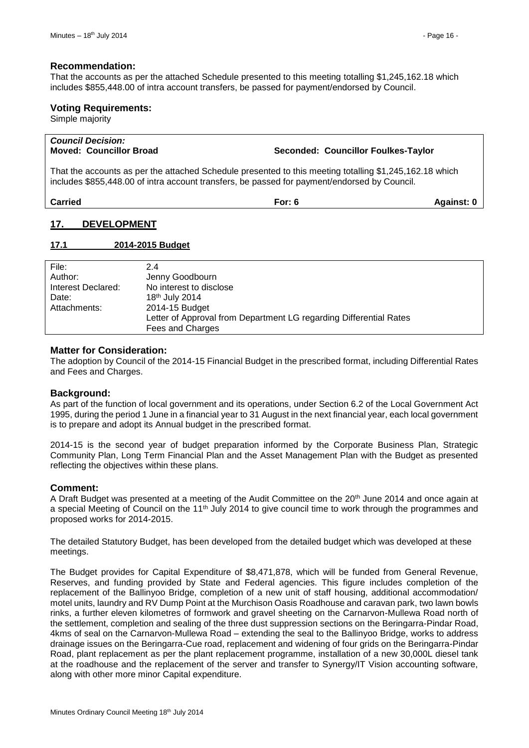#### **Recommendation:**

That the accounts as per the attached Schedule presented to this meeting totalling \$1,245,162.18 which includes \$855,448.00 of intra account transfers, be passed for payment/endorsed by Council.

#### **Voting Requirements:**

Simple majority

# *Council Decision:* **Moved: Councillor Broad Seconded: Councillor Foulkes-Taylor**

That the accounts as per the attached Schedule presented to this meeting totalling \$1,245,162.18 which includes \$855,448.00 of intra account transfers, be passed for payment/endorsed by Council.

**Carried For: 6 Against: 0**

# <span id="page-15-0"></span>**17. DEVELOPMENT**

#### <span id="page-15-1"></span>**17.1 2014-2015 Budget**

| File:              | 2.4                                                                |
|--------------------|--------------------------------------------------------------------|
| Author:            | Jenny Goodbourn                                                    |
| Interest Declared: | No interest to disclose                                            |
| Date:              | 18 <sup>th</sup> July 2014                                         |
| Attachments:       | 2014-15 Budget                                                     |
|                    | Letter of Approval from Department LG regarding Differential Rates |
|                    | Fees and Charges                                                   |

#### **Matter for Consideration:**

The adoption by Council of the 2014-15 Financial Budget in the prescribed format, including Differential Rates and Fees and Charges.

#### **Background:**

As part of the function of local government and its operations, under Section 6.2 of the Local Government Act 1995, during the period 1 June in a financial year to 31 August in the next financial year, each local government is to prepare and adopt its Annual budget in the prescribed format.

2014-15 is the second year of budget preparation informed by the Corporate Business Plan, Strategic Community Plan, Long Term Financial Plan and the Asset Management Plan with the Budget as presented reflecting the objectives within these plans.

#### **Comment:**

A Draft Budget was presented at a meeting of the Audit Committee on the 20th June 2014 and once again at a special Meeting of Council on the 11<sup>th</sup> July 2014 to give council time to work through the programmes and proposed works for 2014-2015.

The detailed Statutory Budget, has been developed from the detailed budget which was developed at these meetings.

The Budget provides for Capital Expenditure of \$8,471,878, which will be funded from General Revenue, Reserves, and funding provided by State and Federal agencies. This figure includes completion of the replacement of the Ballinyoo Bridge, completion of a new unit of staff housing, additional accommodation/ motel units, laundry and RV Dump Point at the Murchison Oasis Roadhouse and caravan park, two lawn bowls rinks, a further eleven kilometres of formwork and gravel sheeting on the Carnarvon-Mullewa Road north of the settlement, completion and sealing of the three dust suppression sections on the Beringarra-Pindar Road, 4kms of seal on the Carnarvon-Mullewa Road – extending the seal to the Ballinyoo Bridge, works to address drainage issues on the Beringarra-Cue road, replacement and widening of four grids on the Beringarra-Pindar Road, plant replacement as per the plant replacement programme, installation of a new 30,000L diesel tank at the roadhouse and the replacement of the server and transfer to Synergy/IT Vision accounting software, along with other more minor Capital expenditure.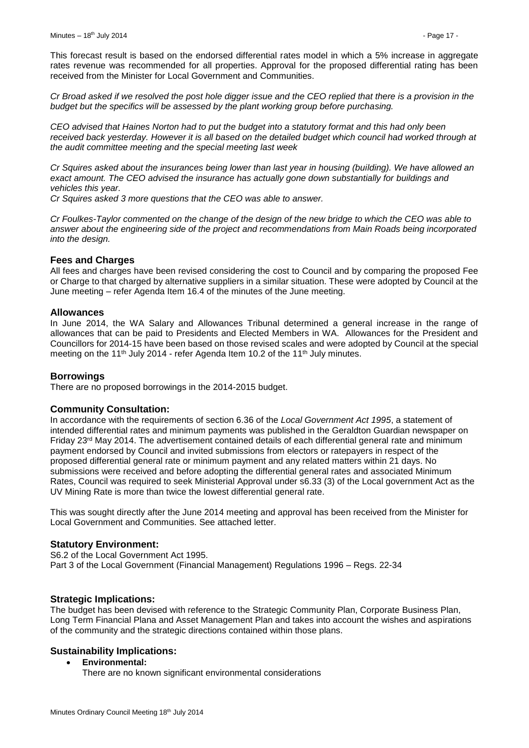This forecast result is based on the endorsed differential rates model in which a 5% increase in aggregate rates revenue was recommended for all properties. Approval for the proposed differential rating has been received from the Minister for Local Government and Communities.

*Cr Broad asked if we resolved the post hole digger issue and the CEO replied that there is a provision in the budget but the specifics will be assessed by the plant working group before purchasing.*

*CEO advised that Haines Norton had to put the budget into a statutory format and this had only been received back yesterday. However it is all based on the detailed budget which council had worked through at the audit committee meeting and the special meeting last week*

*Cr Squires asked about the insurances being lower than last year in housing (building). We have allowed an exact amount. The CEO advised the insurance has actually gone down substantially for buildings and vehicles this year.*

*Cr Squires asked 3 more questions that the CEO was able to answer.*

*Cr Foulkes-Taylor commented on the change of the design of the new bridge to which the CEO was able to answer about the engineering side of the project and recommendations from Main Roads being incorporated into the design.*

#### **Fees and Charges**

All fees and charges have been revised considering the cost to Council and by comparing the proposed Fee or Charge to that charged by alternative suppliers in a similar situation. These were adopted by Council at the June meeting – refer Agenda Item 16.4 of the minutes of the June meeting.

#### **Allowances**

In June 2014, the WA Salary and Allowances Tribunal determined a general increase in the range of allowances that can be paid to Presidents and Elected Members in WA. Allowances for the President and Councillors for 2014-15 have been based on those revised scales and were adopted by Council at the special meeting on the 11<sup>th</sup> July 2014 - refer Agenda Item 10.2 of the 11<sup>th</sup> July minutes.

#### **Borrowings**

There are no proposed borrowings in the 2014-2015 budget.

#### **Community Consultation:**

In accordance with the requirements of section 6.36 of the *Local Government Act 1995*, a statement of intended differential rates and minimum payments was published in the Geraldton Guardian newspaper on Friday 23rd May 2014. The advertisement contained details of each differential general rate and minimum payment endorsed by Council and invited submissions from electors or ratepayers in respect of the proposed differential general rate or minimum payment and any related matters within 21 days. No submissions were received and before adopting the differential general rates and associated Minimum Rates, Council was required to seek Ministerial Approval under s6.33 (3) of the Local government Act as the UV Mining Rate is more than twice the lowest differential general rate.

This was sought directly after the June 2014 meeting and approval has been received from the Minister for Local Government and Communities. See attached letter.

#### **Statutory Environment:**

S6.2 of the Local Government Act 1995. Part 3 of the Local Government (Financial Management) Regulations 1996 – Regs. 22-34

#### **Strategic Implications:**

The budget has been devised with reference to the Strategic Community Plan, Corporate Business Plan, Long Term Financial Plana and Asset Management Plan and takes into account the wishes and aspirations of the community and the strategic directions contained within those plans.

#### **Sustainability Implications:**

**Environmental:**

There are no known significant environmental considerations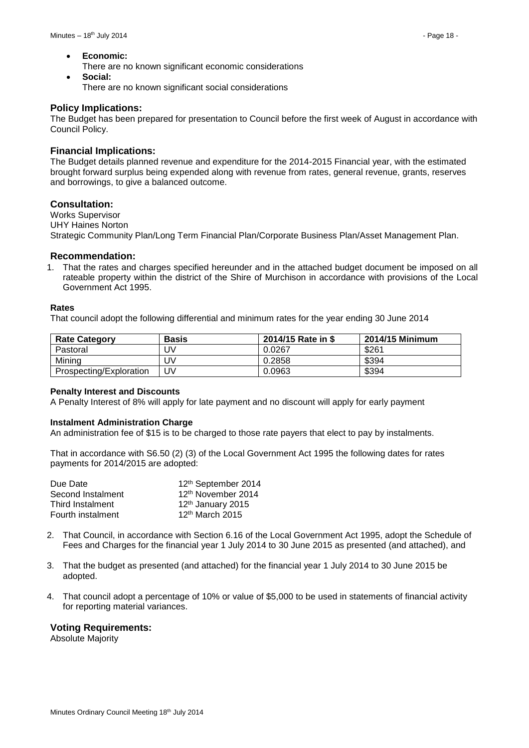**Economic:**

There are no known significant economic considerations

 **Social:** There are no known significant social considerations

#### **Policy Implications:**

The Budget has been prepared for presentation to Council before the first week of August in accordance with Council Policy.

#### **Financial Implications:**

The Budget details planned revenue and expenditure for the 2014-2015 Financial year, with the estimated brought forward surplus being expended along with revenue from rates, general revenue, grants, reserves and borrowings, to give a balanced outcome.

#### **Consultation:**

Works Supervisor UHY Haines Norton Strategic Community Plan/Long Term Financial Plan/Corporate Business Plan/Asset Management Plan.

#### **Recommendation:**

1. That the rates and charges specified hereunder and in the attached budget document be imposed on all rateable property within the district of the Shire of Murchison in accordance with provisions of the Local Government Act 1995.

#### **Rates**

That council adopt the following differential and minimum rates for the year ending 30 June 2014

| <b>Rate Category</b>    | <b>Basis</b> | 2014/15 Rate in \$ | 2014/15 Minimum |
|-------------------------|--------------|--------------------|-----------------|
| Pastoral                | JV           | 0.0267             | \$261           |
| Mining                  | JV           | 0.2858             | \$394           |
| Prospecting/Exploration | JV           | 0.0963             | \$394           |

#### **Penalty Interest and Discounts**

A Penalty Interest of 8% will apply for late payment and no discount will apply for early payment

#### **Instalment Administration Charge**

An administration fee of \$15 is to be charged to those rate payers that elect to pay by instalments.

That in accordance with S6.50 (2) (3) of the Local Government Act 1995 the following dates for rates payments for 2014/2015 are adopted:

| Due Date          | 12th September 2014           |
|-------------------|-------------------------------|
| Second Instalment | 12th November 2014            |
| Third Instalment  | 12 <sup>th</sup> January 2015 |
| Fourth instalment | 12 <sup>th</sup> March 2015   |

- 2. That Council, in accordance with Section 6.16 of the Local Government Act 1995, adopt the Schedule of Fees and Charges for the financial year 1 July 2014 to 30 June 2015 as presented (and attached), and
- 3. That the budget as presented (and attached) for the financial year 1 July 2014 to 30 June 2015 be adopted.
- 4. That council adopt a percentage of 10% or value of \$5,000 to be used in statements of financial activity for reporting material variances.

#### **Voting Requirements:**

Absolute Majority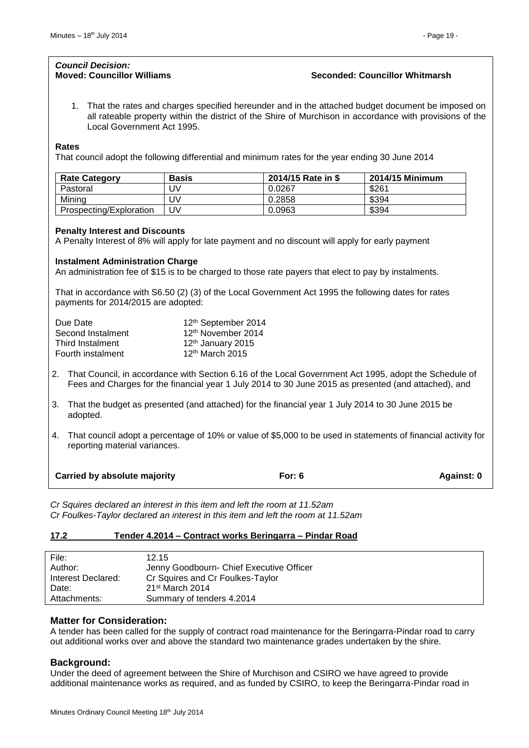#### *Council Decision:* **Moved: Councillor Williams Seconded: Councillor Whitmarsh**

1. That the rates and charges specified hereunder and in the attached budget document be imposed on all rateable property within the district of the Shire of Murchison in accordance with provisions of the Local Government Act 1995.

#### **Rates**

That council adopt the following differential and minimum rates for the year ending 30 June 2014

| <b>Rate Category</b>    | <b>Basis</b> | 2014/15 Rate in \$ | 2014/15 Minimum |
|-------------------------|--------------|--------------------|-----------------|
| Pastoral                | JV           | 0.0267             | \$261           |
| Mining                  | JV           | 0.2858             | \$394           |
| Prospecting/Exploration | JV           | 0.0963             | \$394           |

#### **Penalty Interest and Discounts**

A Penalty Interest of 8% will apply for late payment and no discount will apply for early payment

#### **Instalment Administration Charge**

An administration fee of \$15 is to be charged to those rate payers that elect to pay by instalments.

That in accordance with S6.50 (2) (3) of the Local Government Act 1995 the following dates for rates payments for 2014/2015 are adopted:

| Due Date          | 12th September 2014           |
|-------------------|-------------------------------|
| Second Instalment | 12th November 2014            |
| Third Instalment  | 12 <sup>th</sup> January 2015 |
| Fourth instalment | 12 <sup>th</sup> March 2015   |

- 2. That Council, in accordance with Section 6.16 of the Local Government Act 1995, adopt the Schedule of Fees and Charges for the financial year 1 July 2014 to 30 June 2015 as presented (and attached), and
- 3. That the budget as presented (and attached) for the financial year 1 July 2014 to 30 June 2015 be adopted.
- 4. That council adopt a percentage of 10% or value of \$5,000 to be used in statements of financial activity for reporting material variances.

| <b>Carried by absolute majority</b> | For: $6$ | Against: 0 |
|-------------------------------------|----------|------------|
|                                     |          |            |

*Cr Squires declared an interest in this item and left the room at 11.52am Cr Foulkes-Taylor declared an interest in this item and left the room at 11.52am*

#### <span id="page-18-0"></span>**17.2 Tender 4.2014 – Contract works Beringarra – Pindar Road**

| File:              | 12.15                                    |
|--------------------|------------------------------------------|
| Author:            | Jenny Goodbourn- Chief Executive Officer |
| Interest Declared: | Cr Squires and Cr Foulkes-Taylor         |
| Date:              | $21st$ March 2014                        |
| Attachments:       | Summary of tenders 4.2014                |

#### **Matter for Consideration:**

A tender has been called for the supply of contract road maintenance for the Beringarra-Pindar road to carry out additional works over and above the standard two maintenance grades undertaken by the shire.

#### **Background:**

Under the deed of agreement between the Shire of Murchison and CSIRO we have agreed to provide additional maintenance works as required, and as funded by CSIRO, to keep the Beringarra-Pindar road in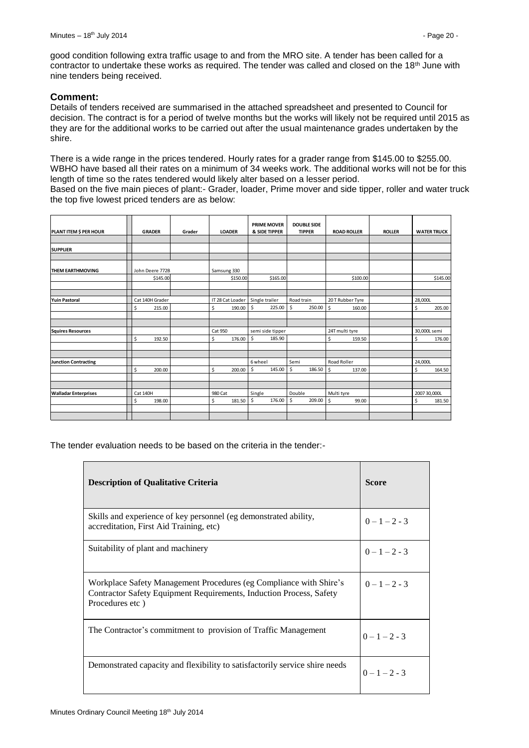good condition following extra traffic usage to and from the MRO site. A tender has been called for a contractor to undertake these works as required. The tender was called and closed on the 18<sup>th</sup> June with nine tenders being received.

#### **Comment:**

Details of tenders received are summarised in the attached spreadsheet and presented to Council for decision. The contract is for a period of twelve months but the works will likely not be required until 2015 as they are for the additional works to be carried out after the usual maintenance grades undertaken by the shire.

There is a wide range in the prices tendered. Hourly rates for a grader range from \$145.00 to \$255.00. WBHO have based all their rates on a minimum of 34 weeks work. The additional works will not be for this length of time so the rates tendered would likely alter based on a lesser period. Based on the five main pieces of plant:- Grader, loader, Prime mover and side tipper, roller and water truck the top five lowest priced tenders are as below:

| PLANT ITEM \$ PER HOUR      | <b>GRADER</b>   | Grader | <b>LOADER</b>    | <b>PRIME MOVER</b><br>& SIDE TIPPER | <b>DOUBLE SIDE</b><br><b>TIPPER</b> | <b>ROAD ROLLER</b> | <b>ROLLER</b> | <b>WATER TRUCK</b> |
|-----------------------------|-----------------|--------|------------------|-------------------------------------|-------------------------------------|--------------------|---------------|--------------------|
|                             |                 |        |                  |                                     |                                     |                    |               |                    |
| <b>SUPPLIER</b>             |                 |        |                  |                                     |                                     |                    |               |                    |
|                             |                 |        |                  |                                     |                                     |                    |               |                    |
| <b>THEM EARTHMOVING</b>     | John Deere 772B |        | Samsung 330      |                                     |                                     |                    |               |                    |
|                             | \$145.00        |        | \$150.00         | \$165.00                            |                                     | \$100.00           |               | \$145.00           |
|                             |                 |        |                  |                                     |                                     |                    |               |                    |
| <b>Yuin Pastoral</b>        | Cat 140H Grader |        | IT 28 Cat Loader | Single trailer                      | Road train                          | 20 T Rubber Tyre   |               | 28,000L            |
|                             | \$<br>215.00    |        | \$<br>190.00     | \$<br>225.00                        | \$<br>250.00                        | \$<br>160.00       |               | \$<br>205.00       |
|                             |                 |        |                  |                                     |                                     |                    |               |                    |
|                             |                 |        |                  |                                     |                                     |                    |               |                    |
| <b>Squires Resources</b>    |                 |        | Cat 950          | semi side tipper                    |                                     | 24T multi tyre     |               | 30,000L semi       |
|                             | \$<br>192.50    |        | \$<br>176.00     | \$<br>185.90                        |                                     | \$<br>159.50       |               | $\sf S$<br>176.00  |
|                             |                 |        |                  |                                     |                                     |                    |               |                    |
| <b>Junction Contracting</b> |                 |        |                  | 6 wheel                             | Semi                                | Road Roller        |               | 24,000L            |
|                             | \$<br>200.00    |        | \$<br>200.00     | \$<br>145.00                        | \$<br>186.50                        | \$<br>137.00       |               | \$<br>164.50       |
|                             |                 |        |                  |                                     |                                     |                    |               |                    |
| <b>Walladar Enterprises</b> | <b>Cat 140H</b> |        | 980 Cat          | Single                              | Double                              | Multi tyre         |               | 2007 30,000L       |
|                             | \$<br>198.00    |        | \$<br>181.50     | \$<br>176.00                        | \$<br>209.00                        | \$<br>99.00        |               | Ś<br>181.50        |
|                             |                 |        |                  |                                     |                                     |                    |               |                    |
|                             |                 |        |                  |                                     |                                     |                    |               |                    |

The tender evaluation needs to be based on the criteria in the tender:-

| <b>Description of Qualitative Criteria</b>                                                                                                                   | <b>Score</b>    |
|--------------------------------------------------------------------------------------------------------------------------------------------------------------|-----------------|
| Skills and experience of key personnel (eg demonstrated ability,<br>accreditation, First Aid Training, etc)                                                  | $0-1-2-3$       |
| Suitability of plant and machinery                                                                                                                           | $0 - 1 - 2 - 3$ |
| Workplace Safety Management Procedures (eg Compliance with Shire's<br>Contractor Safety Equipment Requirements, Induction Process, Safety<br>Procedures etc) | $0 - 1 - 2 - 3$ |
| The Contractor's commitment to provision of Traffic Management                                                                                               | $0 - 1 - 2 - 3$ |
| Demonstrated capacity and flexibility to satisfactorily service shire needs                                                                                  | $0 - 1 - 2 - 3$ |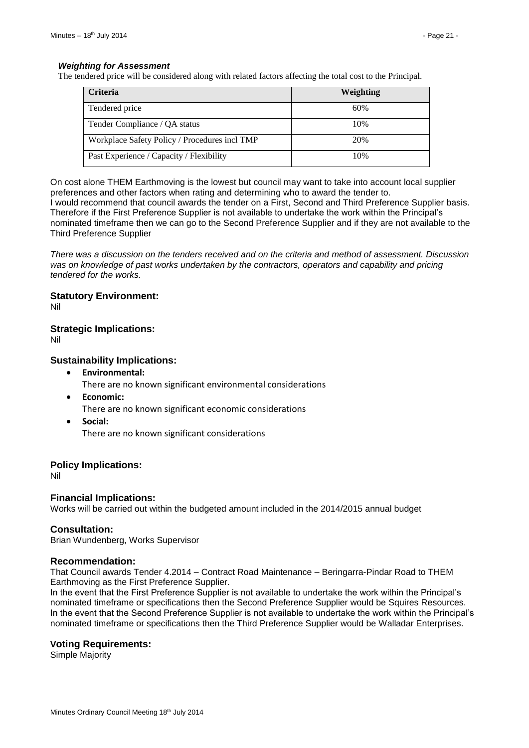#### *Weighting for Assessment*

The tendered price will be considered along with related factors affecting the total cost to the Principal.

| <b>Criteria</b>                               | Weighting |
|-----------------------------------------------|-----------|
| Tendered price                                | 60%       |
| Tender Compliance / QA status                 | 10%       |
| Workplace Safety Policy / Procedures incl TMP | 20%       |
| Past Experience / Capacity / Flexibility      | 10%       |

On cost alone THEM Earthmoving is the lowest but council may want to take into account local supplier preferences and other factors when rating and determining who to award the tender to.

I would recommend that council awards the tender on a First, Second and Third Preference Supplier basis. Therefore if the First Preference Supplier is not available to undertake the work within the Principal's nominated timeframe then we can go to the Second Preference Supplier and if they are not available to the Third Preference Supplier

*There was a discussion on the tenders received and on the criteria and method of assessment. Discussion*  was on knowledge of past works undertaken by the contractors, operators and capability and pricing *tendered for the works.* 

# **Statutory Environment:**

Nil

# **Strategic Implications:**

Nil

# **Sustainability Implications:**

- **Environmental:** There are no known significant environmental considerations
	-
- **Economic:**
	- There are no known significant economic considerations
- **Social:** There are no known significant considerations

# **Policy Implications:**

Nil

# **Financial Implications:**

Works will be carried out within the budgeted amount included in the 2014/2015 annual budget

#### **Consultation:**

Brian Wundenberg, Works Supervisor

#### **Recommendation:**

That Council awards Tender 4.2014 – Contract Road Maintenance – Beringarra-Pindar Road to THEM Earthmoving as the First Preference Supplier.

In the event that the First Preference Supplier is not available to undertake the work within the Principal's nominated timeframe or specifications then the Second Preference Supplier would be Squires Resources. In the event that the Second Preference Supplier is not available to undertake the work within the Principal's nominated timeframe or specifications then the Third Preference Supplier would be Walladar Enterprises.

#### **Voting Requirements:**

Simple Majority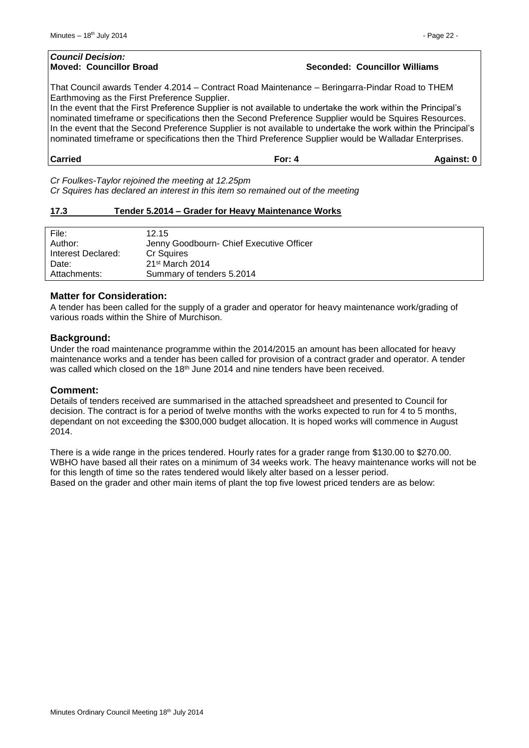# *Council Decision:* **Moved: Councillor Broad Seconded: Councillor Williams**

That Council awards Tender 4.2014 – Contract Road Maintenance – Beringarra-Pindar Road to THEM Earthmoving as the First Preference Supplier.

In the event that the First Preference Supplier is not available to undertake the work within the Principal's nominated timeframe or specifications then the Second Preference Supplier would be Squires Resources. In the event that the Second Preference Supplier is not available to undertake the work within the Principal's nominated timeframe or specifications then the Third Preference Supplier would be Walladar Enterprises.

# **Carried For: 4 Against: 0**

*Cr Foulkes-Taylor rejoined the meeting at 12.25pm Cr Squires has declared an interest in this item so remained out of the meeting*

#### <span id="page-21-0"></span>**17.3 Tender 5.2014 – Grader for Heavy Maintenance Works**

| File:              | 12.15                                    |
|--------------------|------------------------------------------|
| Author:            | Jenny Goodbourn- Chief Executive Officer |
| Interest Declared: | Cr Squires                               |
| Date:              | $21st$ March 2014                        |
| Attachments:       | Summary of tenders 5.2014                |

#### **Matter for Consideration:**

A tender has been called for the supply of a grader and operator for heavy maintenance work/grading of various roads within the Shire of Murchison.

#### **Background:**

Under the road maintenance programme within the 2014/2015 an amount has been allocated for heavy maintenance works and a tender has been called for provision of a contract grader and operator. A tender was called which closed on the 18<sup>th</sup> June 2014 and nine tenders have been received.

#### **Comment:**

Details of tenders received are summarised in the attached spreadsheet and presented to Council for decision. The contract is for a period of twelve months with the works expected to run for 4 to 5 months, dependant on not exceeding the \$300,000 budget allocation. It is hoped works will commence in August 2014.

There is a wide range in the prices tendered. Hourly rates for a grader range from \$130.00 to \$270.00. WBHO have based all their rates on a minimum of 34 weeks work. The heavy maintenance works will not be for this length of time so the rates tendered would likely alter based on a lesser period. Based on the grader and other main items of plant the top five lowest priced tenders are as below: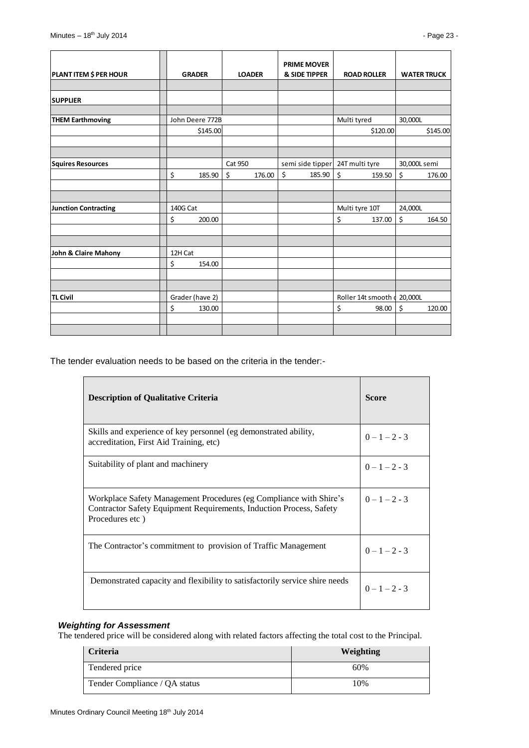| <b>PLANT ITEM \$ PER HOUR</b> | <b>GRADER</b>   |          | <b>LOADER</b> |        | <b>PRIME MOVER</b><br>& SIDE TIPPER |             | <b>ROAD ROLLER</b>          |              | <b>WATER TRUCK</b> |
|-------------------------------|-----------------|----------|---------------|--------|-------------------------------------|-------------|-----------------------------|--------------|--------------------|
|                               |                 |          |               |        |                                     |             |                             |              |                    |
| <b>SUPPLIER</b>               |                 |          |               |        |                                     |             |                             |              |                    |
|                               |                 |          |               |        |                                     |             |                             |              |                    |
| <b>THEM Earthmoving</b>       | John Deere 772B |          |               |        |                                     | Multi tyred |                             | 30,000L      |                    |
|                               |                 | \$145.00 |               |        |                                     |             | \$120.00                    |              | \$145.00           |
|                               |                 |          |               |        |                                     |             |                             |              |                    |
|                               |                 |          |               |        |                                     |             |                             |              |                    |
| <b>Squires Resources</b>      |                 |          | Cat 950       |        | semi side tipper                    |             | 24T multi tyre              | 30,000L semi |                    |
|                               | \$              | 185.90   | \$            | 176.00 | \$<br>185.90                        | \$          | 159.50                      | \$           | 176.00             |
|                               |                 |          |               |        |                                     |             |                             |              |                    |
|                               |                 |          |               |        |                                     |             |                             |              |                    |
| <b>Junction Contracting</b>   | 140G Cat        |          |               |        |                                     |             | Multi tyre 10T              | 24,000L      |                    |
|                               | \$              | 200.00   |               |        |                                     | \$          | 137.00                      | \$           | 164.50             |
|                               |                 |          |               |        |                                     |             |                             |              |                    |
|                               |                 |          |               |        |                                     |             |                             |              |                    |
| John & Claire Mahony          | 12H Cat         |          |               |        |                                     |             |                             |              |                    |
|                               | \$              | 154.00   |               |        |                                     |             |                             |              |                    |
|                               |                 |          |               |        |                                     |             |                             |              |                    |
|                               |                 |          |               |        |                                     |             |                             |              |                    |
| <b>TL Civil</b>               | Grader (have 2) |          |               |        |                                     |             | Roller 14t smooth   20,000L |              |                    |
|                               | \$              | 130.00   |               |        |                                     | \$          | 98.00                       | \$           | 120.00             |
|                               |                 |          |               |        |                                     |             |                             |              |                    |
|                               |                 |          |               |        |                                     |             |                             |              |                    |

The tender evaluation needs to be based on the criteria in the tender:-

| <b>Description of Qualitative Criteria</b>                                                                                                                   | <b>Score</b>    |
|--------------------------------------------------------------------------------------------------------------------------------------------------------------|-----------------|
| Skills and experience of key personnel (eg demonstrated ability,<br>accreditation, First Aid Training, etc)                                                  | $0-1-2-3$       |
| Suitability of plant and machinery                                                                                                                           | $0-1-2-3$       |
| Workplace Safety Management Procedures (eg Compliance with Shire's<br>Contractor Safety Equipment Requirements, Induction Process, Safety<br>Procedures etc) | $0 - 1 - 2 - 3$ |
| The Contractor's commitment to provision of Traffic Management                                                                                               | $0 - 1 - 2 - 3$ |
| Demonstrated capacity and flexibility to satisfactorily service shire needs                                                                                  | $0 - 1 - 2 - 3$ |

# *Weighting for Assessment*

The tendered price will be considered along with related factors affecting the total cost to the Principal.

| <b>Criteria</b>               | Weighting |
|-------------------------------|-----------|
| Tendered price                | 60%       |
| Tender Compliance / QA status | 10%       |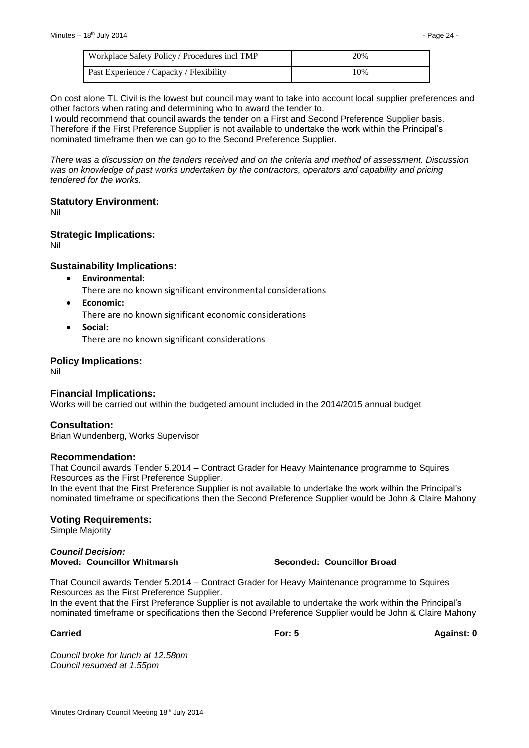| Workplace Safety Policy / Procedures incl TMP | 20% |
|-----------------------------------------------|-----|
| Past Experience / Capacity / Flexibility      | 10% |

On cost alone TL Civil is the lowest but council may want to take into account local supplier preferences and other factors when rating and determining who to award the tender to.

I would recommend that council awards the tender on a First and Second Preference Supplier basis. Therefore if the First Preference Supplier is not available to undertake the work within the Principal's nominated timeframe then we can go to the Second Preference Supplier.

*There was a discussion on the tenders received and on the criteria and method of assessment. Discussion*  was on knowledge of past works undertaken by the contractors, operators and capability and pricing *tendered for the works.* 

#### **Statutory Environment:**

Nil

#### **Strategic Implications:**

Nil

# **Sustainability Implications:**

- **Environmental:**
	- There are no known significant environmental considerations
- **Economic:**

There are no known significant economic considerations

 **Social:** There are no known significant considerations

#### **Policy Implications:**

Nil

#### **Financial Implications:**

Works will be carried out within the budgeted amount included in the 2014/2015 annual budget

#### **Consultation:**

Brian Wundenberg, Works Supervisor

#### **Recommendation:**

That Council awards Tender 5.2014 – Contract Grader for Heavy Maintenance programme to Squires Resources as the First Preference Supplier.

In the event that the First Preference Supplier is not available to undertake the work within the Principal's nominated timeframe or specifications then the Second Preference Supplier would be John & Claire Mahony

#### **Voting Requirements:**

Simple Majority

#### *Council Decision:* **Moved: Councillor Whitmarsh Seconded: Councillor Broad**

That Council awards Tender 5.2014 – Contract Grader for Heavy Maintenance programme to Squires Resources as the First Preference Supplier.

In the event that the First Preference Supplier is not available to undertake the work within the Principal's nominated timeframe or specifications then the Second Preference Supplier would be John & Claire Mahony

**Carried For: 5 Against: 0**

*Council broke for lunch at 12.58pm Council resumed at 1.55pm*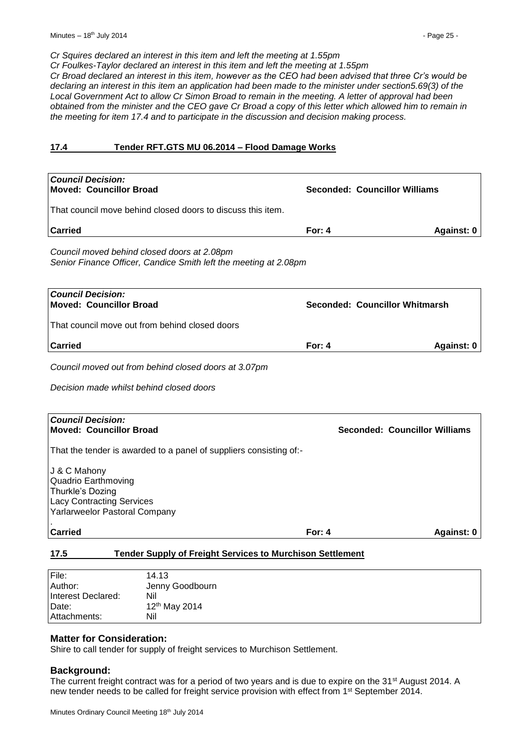*Cr Squires declared an interest in this item and left the meeting at 1.55pm*

*Cr Foulkes-Taylor declared an interest in this item and left the meeting at 1.55pm Cr Broad declared an interest in this item, however as the CEO had been advised that three Cr's would be declaring an interest in this item an application had been made to the minister under section5.69(3) of the Local Government Act to allow Cr Simon Broad to remain in the meeting. A letter of approval had been obtained from the minister and the CEO gave Cr Broad a copy of this letter which allowed him to remain in* 

*the meeting for item 17.4 and to participate in the discussion and decision making process.*

#### <span id="page-24-0"></span>**17.4 Tender RFT.GTS MU 06.2014 – Flood Damage Works**

| <b>Council Decision:</b><br><b>Moved: Councillor Broad</b>                                                                   |          | <b>Seconded: Councillor Williams</b> |                   |
|------------------------------------------------------------------------------------------------------------------------------|----------|--------------------------------------|-------------------|
| That council move behind closed doors to discuss this item.                                                                  |          |                                      |                   |
| <b>Carried</b>                                                                                                               | For: $4$ |                                      | Against: 0        |
| Council moved behind closed doors at 2.08pm<br>Senior Finance Officer, Candice Smith left the meeting at 2.08pm              |          |                                      |                   |
| <b>Council Decision:</b><br><b>Moved: Councillor Broad</b>                                                                   |          | Seconded: Councillor Whitmarsh       |                   |
| That council move out from behind closed doors                                                                               |          |                                      |                   |
| <b>Carried</b>                                                                                                               | For: $4$ |                                      | Against: 0        |
| Council moved out from behind closed doors at 3.07pm                                                                         |          |                                      |                   |
| Decision made whilst behind closed doors                                                                                     |          |                                      |                   |
|                                                                                                                              |          |                                      |                   |
| <b>Council Decision:</b><br><b>Moved: Councillor Broad</b>                                                                   |          | Seconded: Councillor Williams        |                   |
| That the tender is awarded to a panel of suppliers consisting of:-                                                           |          |                                      |                   |
| J & C Mahony<br>Quadrio Earthmoving<br>Thurkle's Dozing<br><b>Lacy Contracting Services</b><br>Yarlarweelor Pastoral Company |          |                                      |                   |
| <b>Carried</b>                                                                                                               | For: $4$ |                                      | <b>Against: 0</b> |
| <b>Tender Supply of Freight Services to Murchison Settlement</b><br>17.5                                                     |          |                                      |                   |

<span id="page-24-1"></span>

| Author:            | Jenny Goodbourn           |
|--------------------|---------------------------|
| Interest Declared: | Nil                       |
| Date:              | 12 <sup>th</sup> May 2014 |
| Attachments:       | Nil                       |

#### **Matter for Consideration:**

Shire to call tender for supply of freight services to Murchison Settlement.

#### **Background:**

The current freight contract was for a period of two years and is due to expire on the 31<sup>st</sup> August 2014. A new tender needs to be called for freight service provision with effect from 1<sup>st</sup> September 2014.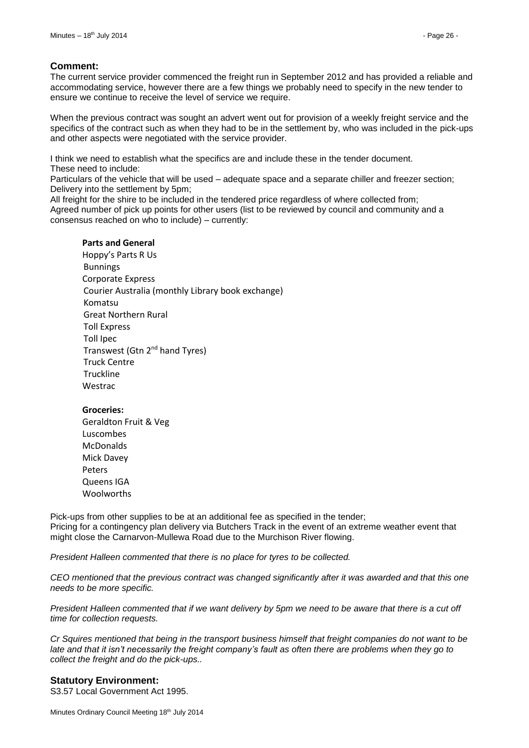#### **Comment:**

The current service provider commenced the freight run in September 2012 and has provided a reliable and accommodating service, however there are a few things we probably need to specify in the new tender to ensure we continue to receive the level of service we require.

When the previous contract was sought an advert went out for provision of a weekly freight service and the specifics of the contract such as when they had to be in the settlement by, who was included in the pick-ups and other aspects were negotiated with the service provider.

I think we need to establish what the specifics are and include these in the tender document. These need to include:

Particulars of the vehicle that will be used – adequate space and a separate chiller and freezer section; Delivery into the settlement by 5pm;

All freight for the shire to be included in the tendered price regardless of where collected from; Agreed number of pick up points for other users (list to be reviewed by council and community and a consensus reached on who to include) – currently:

#### **Parts and General**

Hoppy's Parts R Us Bunnings Corporate Express Courier Australia (monthly Library book exchange) Komatsu Great Northern Rural Toll Express Toll Ipec Transwest (Gtn 2<sup>nd</sup> hand Tyres) Truck Centre **Truckline** Westrac

#### **Groceries:**

Geraldton Fruit & Veg Luscombes McDonalds Mick Davey Peters Queens IGA Woolworths

Pick-ups from other supplies to be at an additional fee as specified in the tender; Pricing for a contingency plan delivery via Butchers Track in the event of an extreme weather event that might close the Carnarvon-Mullewa Road due to the Murchison River flowing.

*President Halleen commented that there is no place for tyres to be collected.*

*CEO mentioned that the previous contract was changed significantly after it was awarded and that this one needs to be more specific.*

*President Halleen commented that if we want delivery by 5pm we need to be aware that there is a cut off time for collection requests.* 

*Cr Squires mentioned that being in the transport business himself that freight companies do not want to be late and that it isn't necessarily the freight company's fault as often there are problems when they go to collect the freight and do the pick-ups..*

#### **Statutory Environment:**

S3.57 Local Government Act 1995.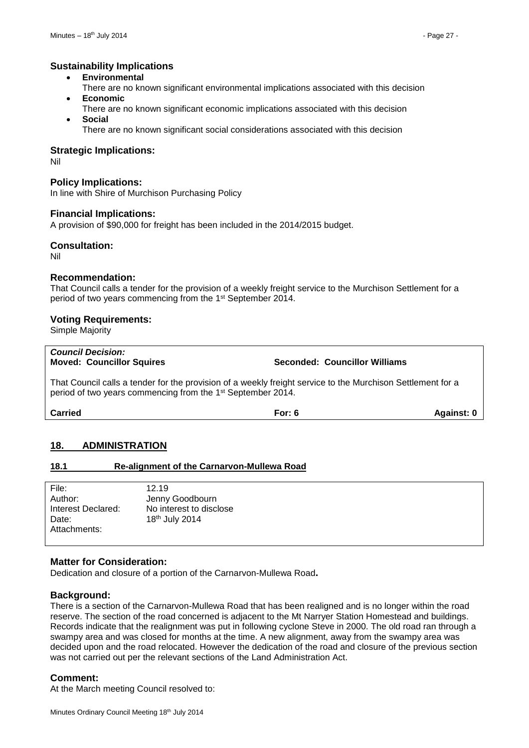# **Sustainability Implications**

- **Environmental**
- There are no known significant environmental implications associated with this decision
- **Economic**
- There are no known significant economic implications associated with this decision **Social**

There are no known significant social considerations associated with this decision

#### **Strategic Implications:**

Nil

### **Policy Implications:**

In line with Shire of Murchison Purchasing Policy

#### **Financial Implications:**

A provision of \$90,000 for freight has been included in the 2014/2015 budget.

#### **Consultation:**

Nil

#### **Recommendation:**

That Council calls a tender for the provision of a weekly freight service to the Murchison Settlement for a period of two years commencing from the 1st September 2014.

#### **Voting Requirements:**

Simple Majority

# *Council Decision:*

**Moved: Councillor Squires Seconded: Councillor Williams**

That Council calls a tender for the provision of a weekly freight service to the Murchison Settlement for a period of two years commencing from the 1st September 2014.

**Carried For: 6 Against: 0**

# <span id="page-26-0"></span>**18. ADMINISTRATION**

#### <span id="page-26-1"></span>**18.1 Re-alignment of the Carnarvon-Mullewa Road**

File: 12.19 Author: Jenny Goodbourn Interest Declared: No interest to disclose Date: 18th July 2014 Attachments:

#### **Matter for Consideration:**

Dedication and closure of a portion of the Carnarvon-Mullewa Road**.**

#### **Background:**

There is a section of the Carnarvon-Mullewa Road that has been realigned and is no longer within the road reserve. The section of the road concerned is adjacent to the Mt Narryer Station Homestead and buildings. Records indicate that the realignment was put in following cyclone Steve in 2000. The old road ran through a swampy area and was closed for months at the time. A new alignment, away from the swampy area was decided upon and the road relocated. However the dedication of the road and closure of the previous section was not carried out per the relevant sections of the Land Administration Act.

#### **Comment:**

At the March meeting Council resolved to: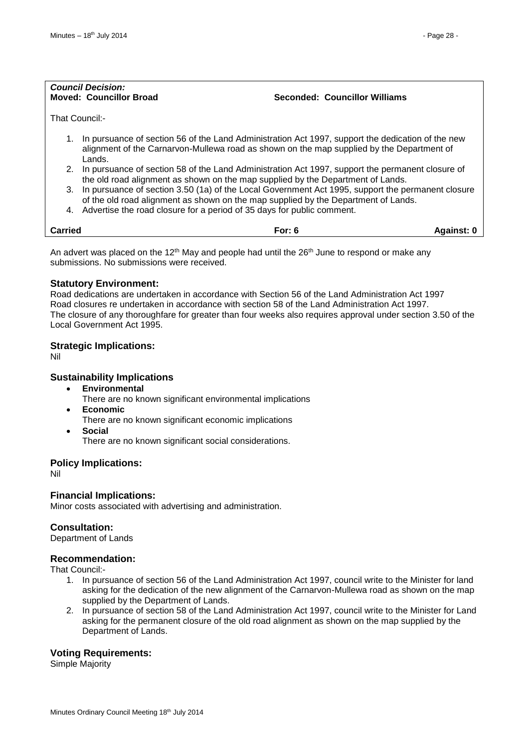# *Council Decision:*

**Moved: Councillor Broad Seconded: Councillor Williams**

That Council:-

- 1. In pursuance of section 56 of the Land Administration Act 1997, support the dedication of the new alignment of the Carnarvon-Mullewa road as shown on the map supplied by the Department of Lands.
- 2. In pursuance of section 58 of the Land Administration Act 1997, support the permanent closure of the old road alignment as shown on the map supplied by the Department of Lands.
- 3. In pursuance of section 3.50 (1a) of the Local Government Act 1995, support the permanent closure of the old road alignment as shown on the map supplied by the Department of Lands.
- 4. Advertise the road closure for a period of 35 days for public comment.

| <b>Carried</b> | For: $6$ | <b>Against:</b> |
|----------------|----------|-----------------|
|                |          |                 |

An advert was placed on the 12<sup>th</sup> May and people had until the 26<sup>th</sup> June to respond or make any submissions. No submissions were received.

#### **Statutory Environment:**

Road dedications are undertaken in accordance with Section 56 of the Land Administration Act 1997 Road closures re undertaken in accordance with section 58 of the Land Administration Act 1997. The closure of any thoroughfare for greater than four weeks also requires approval under section 3.50 of the Local Government Act 1995.

#### **Strategic Implications:**

Nil

#### **Sustainability Implications**

- **Environmental**
	- There are no known significant environmental implications
- **Economic**
	- There are no known significant economic implications
- **Social**

There are no known significant social considerations.

#### **Policy Implications:**

Nil

#### **Financial Implications:**

Minor costs associated with advertising and administration.

#### **Consultation:**

Department of Lands

#### **Recommendation:**

That Council:-

- 1. In pursuance of section 56 of the Land Administration Act 1997, council write to the Minister for land asking for the dedication of the new alignment of the Carnarvon-Mullewa road as shown on the map supplied by the Department of Lands.
- 2. In pursuance of section 58 of the Land Administration Act 1997, council write to the Minister for Land asking for the permanent closure of the old road alignment as shown on the map supplied by the Department of Lands.

#### **Voting Requirements:**

Simple Majority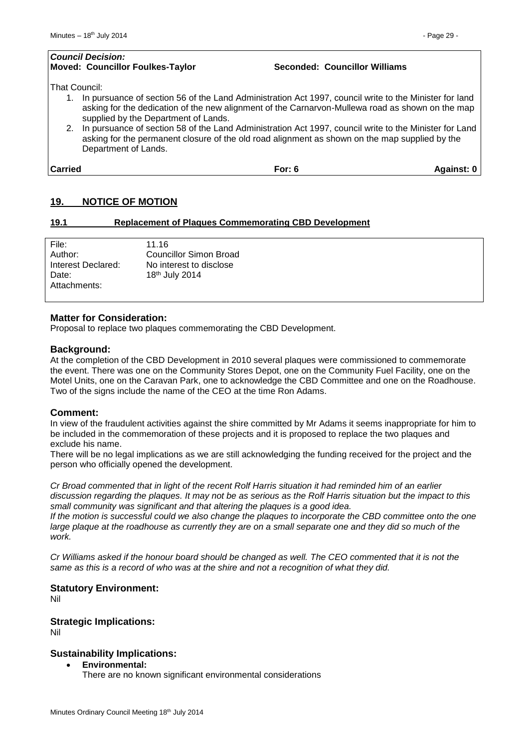# *Council Decision:* **Moved: Councillor Foulkes-Taylor Seconded: Councillor Williams** That Council: 1. In pursuance of section 56 of the Land Administration Act 1997, council write to the Minister for land asking for the dedication of the new alignment of the Carnarvon-Mullewa road as shown on the map supplied by the Department of Lands.

2. In pursuance of section 58 of the Land Administration Act 1997, council write to the Minister for Land asking for the permanent closure of the old road alignment as shown on the map supplied by the Department of Lands.

**Carried For: 6 Against: 0**

# <span id="page-28-0"></span>**19. NOTICE OF MOTION**

#### <span id="page-28-1"></span>**19.1 Replacement of Plaques Commemorating CBD Development**

| File:              | 11.16                   |
|--------------------|-------------------------|
| Author:            | Councillor Simon Broad  |
| Interest Declared: | No interest to disclose |
| Date:              | 18th July 2014          |
| Attachments:       |                         |
|                    |                         |

# **Matter for Consideration:**

Proposal to replace two plaques commemorating the CBD Development.

#### **Background:**

At the completion of the CBD Development in 2010 several plaques were commissioned to commemorate the event. There was one on the Community Stores Depot, one on the Community Fuel Facility, one on the Motel Units, one on the Caravan Park, one to acknowledge the CBD Committee and one on the Roadhouse. Two of the signs include the name of the CEO at the time Ron Adams.

#### **Comment:**

In view of the fraudulent activities against the shire committed by Mr Adams it seems inappropriate for him to be included in the commemoration of these projects and it is proposed to replace the two plaques and exclude his name.

There will be no legal implications as we are still acknowledging the funding received for the project and the person who officially opened the development.

*Cr Broad commented that in light of the recent Rolf Harris situation it had reminded him of an earlier discussion regarding the plaques. It may not be as serious as the Rolf Harris situation but the impact to this small community was significant and that altering the plaques is a good idea.*

*If the motion is successful could we also change the plaques to incorporate the CBD committee onto the one large plaque at the roadhouse as currently they are on a small separate one and they did so much of the work.*

*Cr Williams asked if the honour board should be changed as well. The CEO commented that it is not the same as this is a record of who was at the shire and not a recognition of what they did.*

# **Statutory Environment:**

Nil

# **Strategic Implications:**

Nil

# **Sustainability Implications:**

- **Environmental:**
	- There are no known significant environmental considerations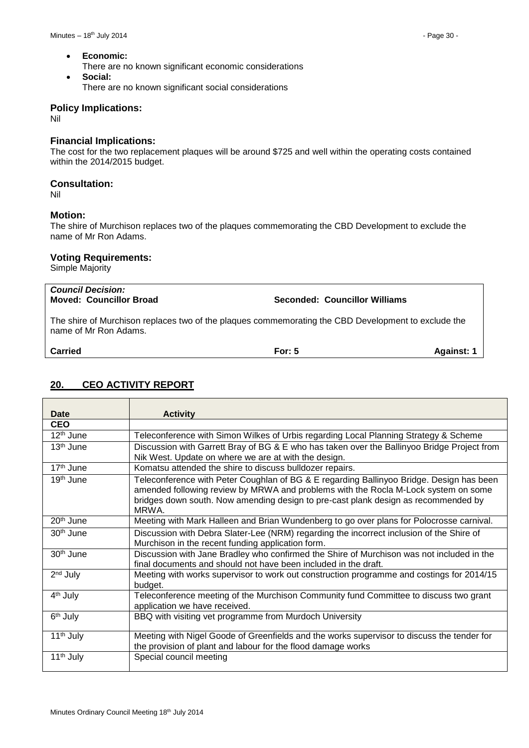- **Economic:**
	- There are no known significant economic considerations
- **Social:** There are no known significant social considerations

#### **Policy Implications:**

Nil

#### **Financial Implications:**

The cost for the two replacement plaques will be around \$725 and well within the operating costs contained within the 2014/2015 budget.

#### **Consultation:**

Nil

#### **Motion:**

The shire of Murchison replaces two of the plaques commemorating the CBD Development to exclude the name of Mr Ron Adams.

#### **Voting Requirements:**

Simple Majority

*Council Decision:*

**Moved: Councillor Broad Seconded: Councillor Williams**

The shire of Murchison replaces two of the plaques commemorating the CBD Development to exclude the name of Mr Ron Adams.

**Carried For: 5 Against: 1**

# <span id="page-29-0"></span>**20. CEO ACTIVITY REPORT**

| Date                  | <b>Activity</b>                                                                                                                                                                                                                                                               |
|-----------------------|-------------------------------------------------------------------------------------------------------------------------------------------------------------------------------------------------------------------------------------------------------------------------------|
| <b>CEO</b>            |                                                                                                                                                                                                                                                                               |
| 12 <sup>th</sup> June | Teleconference with Simon Wilkes of Urbis regarding Local Planning Strategy & Scheme                                                                                                                                                                                          |
| $13th$ June           | Discussion with Garrett Bray of BG & E who has taken over the Ballinyoo Bridge Project from<br>Nik West. Update on where we are at with the design.                                                                                                                           |
| 17 <sup>th</sup> June | Komatsu attended the shire to discuss bulldozer repairs.                                                                                                                                                                                                                      |
| 19 <sup>th</sup> June | Teleconference with Peter Coughlan of BG & E regarding Ballinyoo Bridge. Design has been<br>amended following review by MRWA and problems with the Rocla M-Lock system on some<br>bridges down south. Now amending design to pre-cast plank design as recommended by<br>MRWA. |
| 20 <sup>th</sup> June | Meeting with Mark Halleen and Brian Wundenberg to go over plans for Polocrosse carnival.                                                                                                                                                                                      |
| 30 <sup>th</sup> June | Discussion with Debra Slater-Lee (NRM) regarding the incorrect inclusion of the Shire of<br>Murchison in the recent funding application form.                                                                                                                                 |
| 30 <sup>th</sup> June | Discussion with Jane Bradley who confirmed the Shire of Murchison was not included in the<br>final documents and should not have been included in the draft.                                                                                                                  |
| $2nd$ July            | Meeting with works supervisor to work out construction programme and costings for 2014/15<br>budget.                                                                                                                                                                          |
| 4 <sup>th</sup> July  | Teleconference meeting of the Murchison Community fund Committee to discuss two grant<br>application we have received.                                                                                                                                                        |
| 6 <sup>th</sup> July  | BBQ with visiting vet programme from Murdoch University                                                                                                                                                                                                                       |
| 11 <sup>th</sup> July | Meeting with Nigel Goode of Greenfields and the works supervisor to discuss the tender for<br>the provision of plant and labour for the flood damage works                                                                                                                    |
| 11 <sup>th</sup> July | Special council meeting                                                                                                                                                                                                                                                       |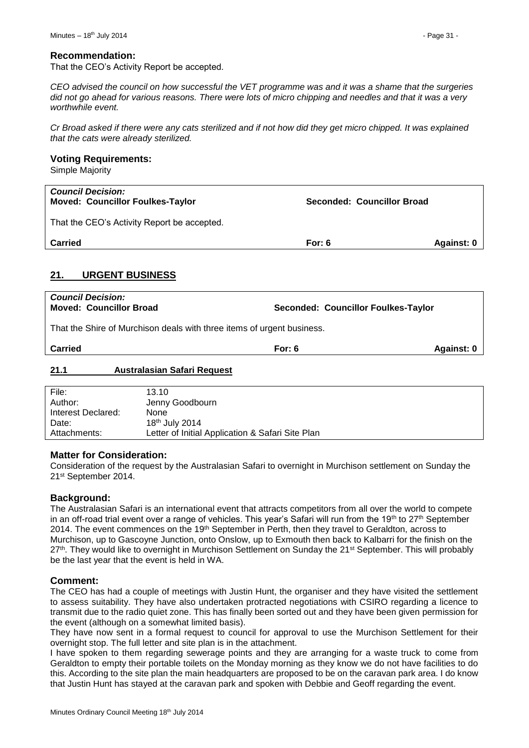#### **Recommendation:**

That the CEO's Activity Report be accepted.

*CEO advised the council on how successful the VET programme was and it was a shame that the surgeries did not go ahead for various reasons. There were lots of micro chipping and needles and that it was a very worthwhile event.*

*Cr Broad asked if there were any cats sterilized and if not how did they get micro chipped. It was explained that the cats were already sterilized.*

#### **Voting Requirements:**

Simple Majority

| <b>Council Decision:</b><br><b>Moved: Councillor Foulkes-Taylor</b> | Seconded: Councillor Broad |            |
|---------------------------------------------------------------------|----------------------------|------------|
| That the CEO's Activity Report be accepted.                         |                            |            |
| <b>Carried</b>                                                      | For: $6$                   | Against: 0 |
|                                                                     |                            |            |

#### <span id="page-30-0"></span>**21. URGENT BUSINESS**

| <b>Council Decision:</b><br><b>Moved: Councillor Broad</b>             | Seconded: Councillor Foulkes-Taylor |            |  |  |  |
|------------------------------------------------------------------------|-------------------------------------|------------|--|--|--|
| That the Shire of Murchison deals with three items of urgent business. |                                     |            |  |  |  |
| <b>Carried</b>                                                         | For: $6$                            | Against: 0 |  |  |  |

#### <span id="page-30-1"></span>**21.1 Australasian Safari Request**

| File:              | 13.10                                            |
|--------------------|--------------------------------------------------|
| Author:            | Jenny Goodbourn                                  |
| Interest Declared: | None                                             |
| Date:              | 18 <sup>th</sup> July 2014                       |
| Attachments:       | Letter of Initial Application & Safari Site Plan |
|                    |                                                  |

#### **Matter for Consideration:**

Consideration of the request by the Australasian Safari to overnight in Murchison settlement on Sunday the 21st September 2014.

#### **Background:**

The Australasian Safari is an international event that attracts competitors from all over the world to compete in an off-road trial event over a range of vehicles. This year's Safari will run from the 19<sup>th</sup> to 27<sup>th</sup> September 2014. The event commences on the 19<sup>th</sup> September in Perth, then they travel to Geraldton, across to Murchison, up to Gascoyne Junction, onto Onslow, up to Exmouth then back to Kalbarri for the finish on the 27<sup>th</sup>. They would like to overnight in Murchison Settlement on Sunday the 21<sup>st</sup> September. This will probably be the last year that the event is held in WA.

#### **Comment:**

The CEO has had a couple of meetings with Justin Hunt, the organiser and they have visited the settlement to assess suitability. They have also undertaken protracted negotiations with CSIRO regarding a licence to transmit due to the radio quiet zone. This has finally been sorted out and they have been given permission for the event (although on a somewhat limited basis).

They have now sent in a formal request to council for approval to use the Murchison Settlement for their overnight stop. The full letter and site plan is in the attachment.

I have spoken to them regarding sewerage points and they are arranging for a waste truck to come from Geraldton to empty their portable toilets on the Monday morning as they know we do not have facilities to do this. According to the site plan the main headquarters are proposed to be on the caravan park area. I do know that Justin Hunt has stayed at the caravan park and spoken with Debbie and Geoff regarding the event.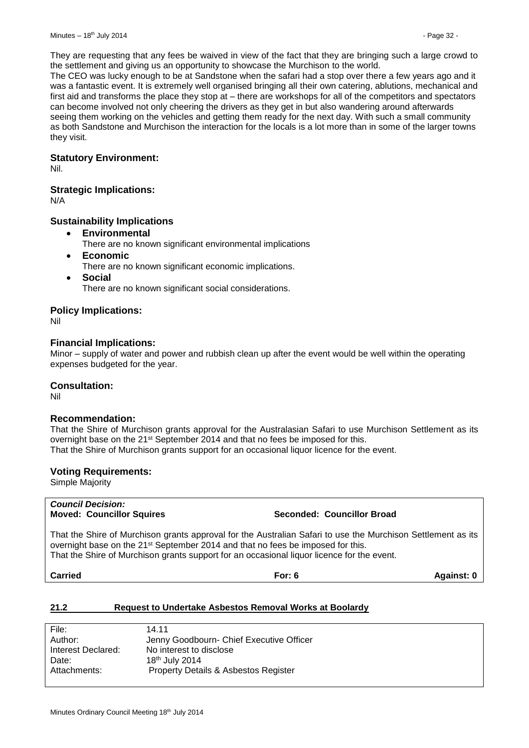They are requesting that any fees be waived in view of the fact that they are bringing such a large crowd to the settlement and giving us an opportunity to showcase the Murchison to the world.

The CEO was lucky enough to be at Sandstone when the safari had a stop over there a few years ago and it was a fantastic event. It is extremely well organised bringing all their own catering, ablutions, mechanical and first aid and transforms the place they stop at – there are workshops for all of the competitors and spectators can become involved not only cheering the drivers as they get in but also wandering around afterwards seeing them working on the vehicles and getting them ready for the next day. With such a small community as both Sandstone and Murchison the interaction for the locals is a lot more than in some of the larger towns they visit.

#### **Statutory Environment:**

Nil.

#### **Strategic Implications:**

N/A

#### **Sustainability Implications**

- **Environmental**
	- There are no known significant environmental implications
- **Economic**
	- There are no known significant economic implications.
- **Social**

There are no known significant social considerations.

#### **Policy Implications:**

Nil

#### **Financial Implications:**

Minor – supply of water and power and rubbish clean up after the event would be well within the operating expenses budgeted for the year.

#### **Consultation:**

Nil

#### **Recommendation:**

That the Shire of Murchison grants approval for the Australasian Safari to use Murchison Settlement as its overnight base on the 21<sup>st</sup> September 2014 and that no fees be imposed for this. That the Shire of Murchison grants support for an occasional liquor licence for the event.

#### **Voting Requirements:**

Simple Majority

*Council Decision:*

**Moved: Councillor Squires Seconded: Councillor Broad**

That the Shire of Murchison grants approval for the Australian Safari to use the Murchison Settlement as its overnight base on the 21<sup>st</sup> September 2014 and that no fees be imposed for this. That the Shire of Murchison grants support for an occasional liquor licence for the event.

**Carried For: 6 Against: 0**

#### <span id="page-31-0"></span>**21.2 Request to Undertake Asbestos Removal Works at Boolardy**

| File:              | 14.11                                    |
|--------------------|------------------------------------------|
| Author:            | Jenny Goodbourn- Chief Executive Officer |
| Interest Declared: | No interest to disclose                  |
| Date:              | 18th July 2014                           |
| Attachments:       | Property Details & Asbestos Register     |
|                    |                                          |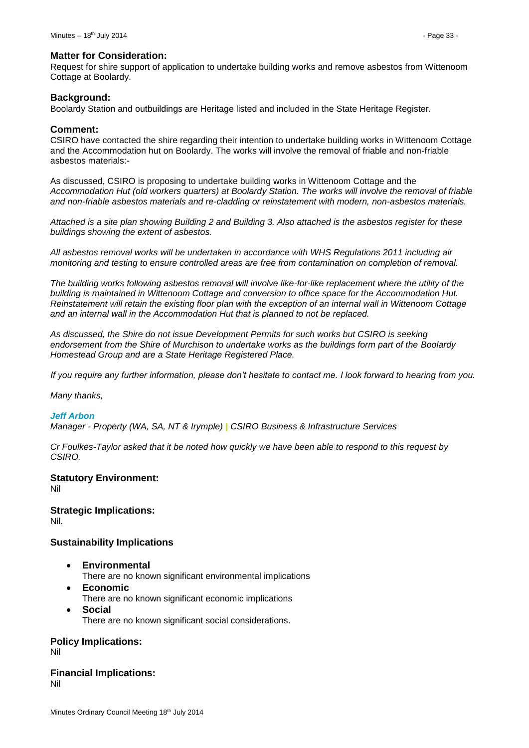#### **Matter for Consideration:**

Request for shire support of application to undertake building works and remove asbestos from Wittenoom Cottage at Boolardy.

#### **Background:**

Boolardy Station and outbuildings are Heritage listed and included in the State Heritage Register.

#### **Comment:**

CSIRO have contacted the shire regarding their intention to undertake building works in Wittenoom Cottage and the Accommodation hut on Boolardy. The works will involve the removal of friable and non-friable asbestos materials:-

As discussed, CSIRO is proposing to undertake building works in Wittenoom Cottage and the *Accommodation Hut (old workers quarters) at Boolardy Station. The works will involve the removal of friable and non-friable asbestos materials and re-cladding or reinstatement with modern, non-asbestos materials.* 

*Attached is a site plan showing Building 2 and Building 3. Also attached is the asbestos register for these buildings showing the extent of asbestos.* 

*All asbestos removal works will be undertaken in accordance with WHS Regulations 2011 including air monitoring and testing to ensure controlled areas are free from contamination on completion of removal.* 

*The building works following asbestos removal will involve like-for-like replacement where the utility of the building is maintained in Wittenoom Cottage and conversion to office space for the Accommodation Hut. Reinstatement will retain the existing floor plan with the exception of an internal wall in Wittenoom Cottage and an internal wall in the Accommodation Hut that is planned to not be replaced.* 

*As discussed, the Shire do not issue Development Permits for such works but CSIRO is seeking endorsement from the Shire of Murchison to undertake works as the buildings form part of the Boolardy Homestead Group and are a State Heritage Registered Place.* 

*If you require any further information, please don't hesitate to contact me. I look forward to hearing from you.* 

*Many thanks,* 

#### *Jeff Arbon*

*Manager - Property (WA, SA, NT & Irymple) | CSIRO Business & Infrastructure Services*

*Cr Foulkes-Taylor asked that it be noted how quickly we have been able to respond to this request by CSIRO.*

#### **Statutory Environment:**

Nil

#### **Strategic Implications:** Nil.

#### **Sustainability Implications**

- **Environmental**
	- There are no known significant environmental implications
- **Economic**
	- There are no known significant economic implications
- **Social** There are no known significant social considerations.

#### **Policy Implications:**

Nil

**Financial Implications:** Nil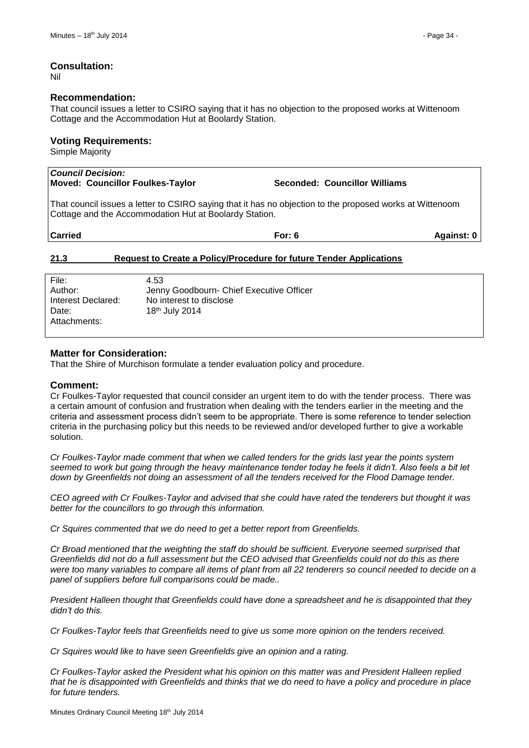Nil

#### **Recommendation:**

That council issues a letter to CSIRO saying that it has no objection to the proposed works at Wittenoom Cottage and the Accommodation Hut at Boolardy Station.

## **Voting Requirements:**

Simple Majority

| <b>Council Decision:</b><br>Moved: Councillor Foulkes-Taylor                                                                                                       |                                          | Seconded: Councillor Williams |            |  |  |  |
|--------------------------------------------------------------------------------------------------------------------------------------------------------------------|------------------------------------------|-------------------------------|------------|--|--|--|
| That council issues a letter to CSIRO saying that it has no objection to the proposed works at Wittenoom<br>Cottage and the Accommodation Hut at Boolardy Station. |                                          |                               |            |  |  |  |
| <b>Carried</b>                                                                                                                                                     |                                          | For: $6$                      | Against: 0 |  |  |  |
| <b>Request to Create a Policy/Procedure for future Tender Applications</b><br>21.3                                                                                 |                                          |                               |            |  |  |  |
| File:                                                                                                                                                              | 4.53                                     |                               |            |  |  |  |
| Author:                                                                                                                                                            | Jenny Goodbourn- Chief Executive Officer |                               |            |  |  |  |
| Interest Declared:                                                                                                                                                 | No interest to disclose                  |                               |            |  |  |  |

#### **Matter for Consideration:**

<span id="page-33-0"></span>Date: 18th July 2014

That the Shire of Murchison formulate a tender evaluation policy and procedure.

#### **Comment:**

Attachments:

Cr Foulkes-Taylor requested that council consider an urgent item to do with the tender process. There was a certain amount of confusion and frustration when dealing with the tenders earlier in the meeting and the criteria and assessment process didn't seem to be appropriate. There is some reference to tender selection criteria in the purchasing policy but this needs to be reviewed and/or developed further to give a workable solution.

*Cr Foulkes-Taylor made comment that when we called tenders for the grids last year the points system seemed to work but going through the heavy maintenance tender today he feels it didn't. Also feels a bit let down by Greenfields not doing an assessment of all the tenders received for the Flood Damage tender.*

*CEO agreed with Cr Foulkes-Taylor and advised that she could have rated the tenderers but thought it was better for the councillors to go through this information.* 

*Cr Squires commented that we do need to get a better report from Greenfields.*

*Cr Broad mentioned that the weighting the staff do should be sufficient. Everyone seemed surprised that Greenfields did not do a full assessment but the CEO advised that Greenfields could not do this as there*  were too many variables to compare all items of plant from all 22 tenderers so council needed to decide on a *panel of suppliers before full comparisons could be made..*

*President Halleen thought that Greenfields could have done a spreadsheet and he is disappointed that they didn't do this.*

*Cr Foulkes-Taylor feels that Greenfields need to give us some more opinion on the tenders received.* 

*Cr Squires would like to have seen Greenfields give an opinion and a rating.*

*Cr Foulkes-Taylor asked the President what his opinion on this matter was and President Halleen replied that he is disappointed with Greenfields and thinks that we do need to have a policy and procedure in place for future tenders.*